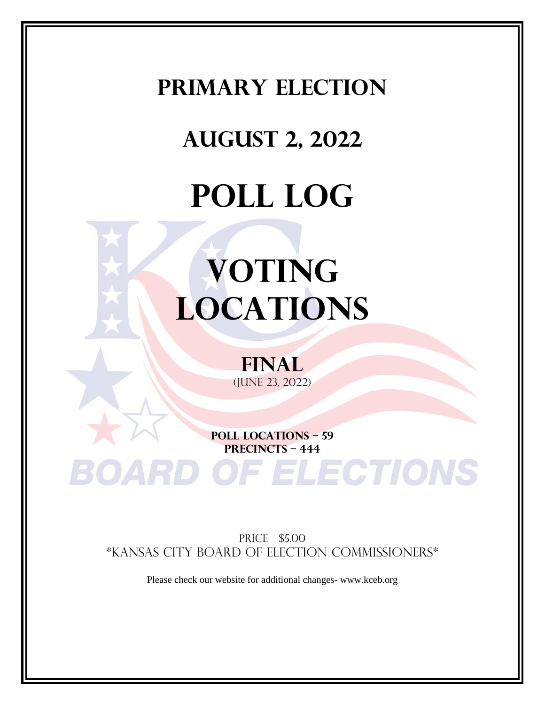### **PRIMARY Election**

## **August 2, 2022**

## **POLL LOG**

# **VOTING LOCATIONS**

**final** (june 23, 2022)

**POLL LOCATIONS – 59 PRECINCTS – 444**

**RD OF ELECTIONS** 

PRICE \$5.00 \*KANSAS CITY BOARD OF ELECTION COMMISSIONERS\*

Please check our website for additional changes- www.kceb.org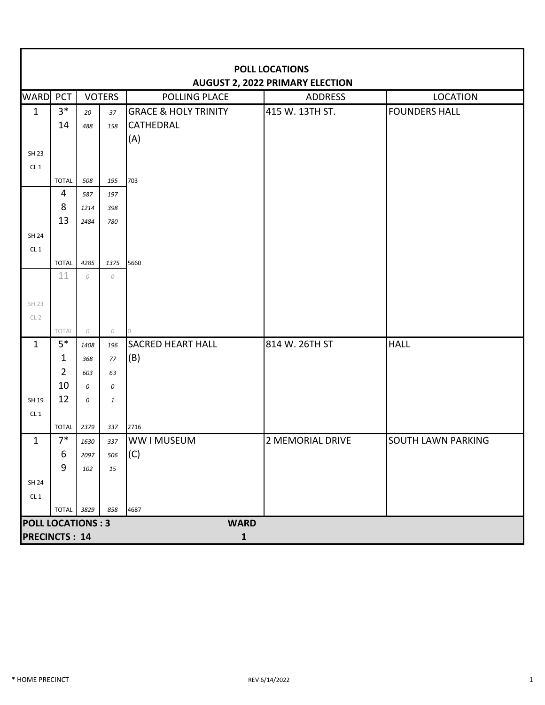|                          | <b>POLL LOCATIONS</b><br><b>AUGUST 2, 2022 PRIMARY ELECTION</b> |                    |               |                                 |                  |                      |  |  |  |  |
|--------------------------|-----------------------------------------------------------------|--------------------|---------------|---------------------------------|------------------|----------------------|--|--|--|--|
| WARD                     | PCT                                                             |                    | <b>VOTERS</b> | <b>POLLING PLACE</b>            | <b>ADDRESS</b>   | <b>LOCATION</b>      |  |  |  |  |
| $\mathbf{1}$             | $3*$                                                            | 20                 | 37            | <b>GRACE &amp; HOLY TRINITY</b> | 415 W. 13TH ST.  | <b>FOUNDERS HALL</b> |  |  |  |  |
|                          | 14                                                              | 488                | 158           | <b>CATHEDRAL</b>                |                  |                      |  |  |  |  |
|                          |                                                                 |                    |               | (A)                             |                  |                      |  |  |  |  |
| <b>SH 23</b>             |                                                                 |                    |               |                                 |                  |                      |  |  |  |  |
| CL1                      |                                                                 |                    |               |                                 |                  |                      |  |  |  |  |
|                          | <b>TOTAL</b>                                                    | 508                | 195           | 703                             |                  |                      |  |  |  |  |
|                          | $\overline{4}$                                                  | 587                | 197           |                                 |                  |                      |  |  |  |  |
|                          | 8                                                               | 1214               | 398           |                                 |                  |                      |  |  |  |  |
|                          | 13                                                              | 2484               | 780           |                                 |                  |                      |  |  |  |  |
| <b>SH 24</b>             |                                                                 |                    |               |                                 |                  |                      |  |  |  |  |
| CL <sub>1</sub>          |                                                                 |                    |               |                                 |                  |                      |  |  |  |  |
|                          | <b>TOTAL</b><br>11                                              | 4285<br>${\cal O}$ | 1375<br>0     | 5660                            |                  |                      |  |  |  |  |
|                          |                                                                 |                    |               |                                 |                  |                      |  |  |  |  |
| SH 23                    |                                                                 |                    |               |                                 |                  |                      |  |  |  |  |
| CL <sub>2</sub>          |                                                                 |                    |               |                                 |                  |                      |  |  |  |  |
|                          | TOTAL                                                           | ${\cal O}$         | 0             | $\overline{10}$                 |                  |                      |  |  |  |  |
| $\mathbf{1}$             | $5*$                                                            | 1408               | 196           | <b>SACRED HEART HALL</b>        | 814 W. 26TH ST   | <b>HALL</b>          |  |  |  |  |
|                          | $\mathbf{1}$                                                    | 368                | 77            | (B)                             |                  |                      |  |  |  |  |
|                          | $\overline{2}$                                                  | 603                | 63            |                                 |                  |                      |  |  |  |  |
|                          | 10                                                              | 0                  | 0             |                                 |                  |                      |  |  |  |  |
| SH 19                    | 12                                                              | 0                  | $\mathbf{1}$  |                                 |                  |                      |  |  |  |  |
| CL <sub>1</sub>          |                                                                 |                    |               |                                 |                  |                      |  |  |  |  |
|                          | <b>TOTAL</b>                                                    | 2379               | 337           | 2716                            |                  |                      |  |  |  |  |
| 1                        | $7*$                                                            | 1630               | 337           | <b>WW I MUSEUM</b>              | 2 MEMORIAL DRIVE | SOUTH LAWN PARKING   |  |  |  |  |
|                          | 6                                                               | 2097               | 506           | (C)                             |                  |                      |  |  |  |  |
|                          | 9                                                               | 102                | 15            |                                 |                  |                      |  |  |  |  |
| SH 24                    |                                                                 |                    |               |                                 |                  |                      |  |  |  |  |
| CL1                      |                                                                 |                    |               |                                 |                  |                      |  |  |  |  |
|                          | TOTAL 3829                                                      |                    | 858           | 4687                            |                  |                      |  |  |  |  |
| <b>POLL LOCATIONS: 3</b> |                                                                 |                    |               | <b>WARD</b>                     |                  |                      |  |  |  |  |
| <b>PRECINCTS: 14</b>     |                                                                 |                    |               | $\mathbf{1}$                    |                  |                      |  |  |  |  |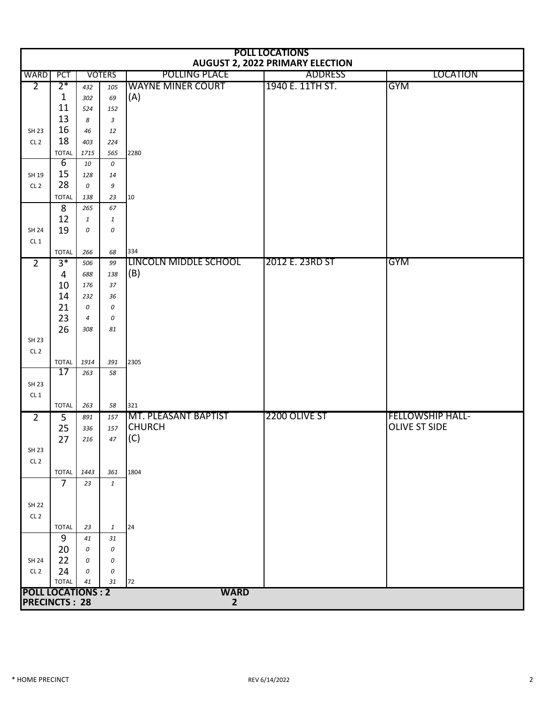|                          | <b>POLL LOCATIONS</b><br><b>AUGUST 2, 2022 PRIMARY ELECTION</b> |                |                |                              |                  |                         |  |  |  |  |  |
|--------------------------|-----------------------------------------------------------------|----------------|----------------|------------------------------|------------------|-------------------------|--|--|--|--|--|
| <b>WARD</b>              | PCT                                                             |                | <b>VOTERS</b>  | <b>POLLING PLACE</b>         | <b>ADDRESS</b>   | <b>LOCATION</b>         |  |  |  |  |  |
| $\overline{2}$           | $2*$                                                            | 432            | 105            | <b>WAYNE MINER COURT</b>     | 1940 E. 11TH ST. | <b>GYM</b>              |  |  |  |  |  |
|                          | $\mathbf{1}$                                                    | 302            | 69             | (A)                          |                  |                         |  |  |  |  |  |
|                          | 11                                                              | 524            | 152            |                              |                  |                         |  |  |  |  |  |
|                          | 13                                                              | 8              | $\mathfrak{Z}$ |                              |                  |                         |  |  |  |  |  |
| SH 23                    | 16                                                              | 46             | 12             |                              |                  |                         |  |  |  |  |  |
| CL <sub>2</sub>          | 18                                                              | 403            | 224            |                              |                  |                         |  |  |  |  |  |
|                          | <b>TOTAL</b>                                                    | 1715           | 565            | 2280                         |                  |                         |  |  |  |  |  |
|                          | $6 \overline{6}$                                                | 10             | 0              |                              |                  |                         |  |  |  |  |  |
| SH 19                    | 15<br>28                                                        | 128            | 14             |                              |                  |                         |  |  |  |  |  |
| CL <sub>2</sub>          |                                                                 | 0              | 9              |                              |                  |                         |  |  |  |  |  |
|                          | <b>TOTAL</b><br>8                                               | 138<br>265     | 23<br>67       | 10                           |                  |                         |  |  |  |  |  |
|                          | 12                                                              | $\mathbf{1}$   | $\mathbf{1}$   |                              |                  |                         |  |  |  |  |  |
| SH 24                    | 19                                                              | 0              | 0              |                              |                  |                         |  |  |  |  |  |
| CL1                      |                                                                 |                |                |                              |                  |                         |  |  |  |  |  |
|                          | <b>TOTAL</b>                                                    | 266            | 68             | 334                          |                  |                         |  |  |  |  |  |
| $\overline{2}$           | $3*$                                                            | 506            | 99             | <b>LINCOLN MIDDLE SCHOOL</b> | 2012 E. 23RD ST  | <b>GYM</b>              |  |  |  |  |  |
|                          | $\overline{4}$                                                  | 688            | 138            | (B)                          |                  |                         |  |  |  |  |  |
|                          | 10                                                              | 176            | 37             |                              |                  |                         |  |  |  |  |  |
|                          | 14                                                              | 232            | 36             |                              |                  |                         |  |  |  |  |  |
|                          | 21                                                              | 0              | 0              |                              |                  |                         |  |  |  |  |  |
|                          | 23                                                              | $\overline{4}$ | 0              |                              |                  |                         |  |  |  |  |  |
|                          | 26                                                              | 308            | 81             |                              |                  |                         |  |  |  |  |  |
| SH 23                    |                                                                 |                |                |                              |                  |                         |  |  |  |  |  |
| CL <sub>2</sub>          |                                                                 |                |                |                              |                  |                         |  |  |  |  |  |
|                          | <b>TOTAL</b><br>$\overline{17}$                                 | 1914           | 391            | 2305                         |                  |                         |  |  |  |  |  |
| SH 23                    |                                                                 | 263            | 58             |                              |                  |                         |  |  |  |  |  |
| CL <sub>1</sub>          |                                                                 |                |                |                              |                  |                         |  |  |  |  |  |
|                          | <b>TOTAL</b>                                                    | 263            | 58             | 321                          |                  |                         |  |  |  |  |  |
| $\overline{2}$           | 5                                                               | 891            | 157            | <b>MT. PLEASANT BAPTIST</b>  | 2200 OLIVE ST    | <b>FELLOWSHIP HALL-</b> |  |  |  |  |  |
|                          | 25                                                              | 336            | 157            | <b>CHURCH</b>                |                  | <b>OLIVE ST SIDE</b>    |  |  |  |  |  |
|                          | 27                                                              | 216            | 47             | (C)                          |                  |                         |  |  |  |  |  |
| <b>SH 23</b>             |                                                                 |                |                |                              |                  |                         |  |  |  |  |  |
| CL <sub>2</sub>          |                                                                 |                |                |                              |                  |                         |  |  |  |  |  |
|                          | <b>TOTAL</b>                                                    | 1443           | 361            | 1804                         |                  |                         |  |  |  |  |  |
|                          | $\overline{7}$                                                  | 23             | $\mathbf{1}$   |                              |                  |                         |  |  |  |  |  |
|                          |                                                                 |                |                |                              |                  |                         |  |  |  |  |  |
| <b>SH 22</b>             |                                                                 |                |                |                              |                  |                         |  |  |  |  |  |
| CL <sub>2</sub>          |                                                                 |                |                |                              |                  |                         |  |  |  |  |  |
|                          | <b>TOTAL</b>                                                    | 23             | $\mathbf{1}$   | 24                           |                  |                         |  |  |  |  |  |
|                          | 9                                                               | 41             | 31             |                              |                  |                         |  |  |  |  |  |
| SH 24                    | 20<br>22                                                        | 0<br>0         | 0<br>0         |                              |                  |                         |  |  |  |  |  |
| CL <sub>2</sub>          | 24                                                              | 0              | 0              |                              |                  |                         |  |  |  |  |  |
|                          | <b>TOTAL</b>                                                    | 41             | 31             | 72                           |                  |                         |  |  |  |  |  |
| <b>POLL LOCATIONS: 2</b> |                                                                 |                |                | <b>WARD</b>                  |                  |                         |  |  |  |  |  |
| <b>PRECINCTS: 28</b>     |                                                                 |                |                | $\overline{\mathbf{2}}$      |                  |                         |  |  |  |  |  |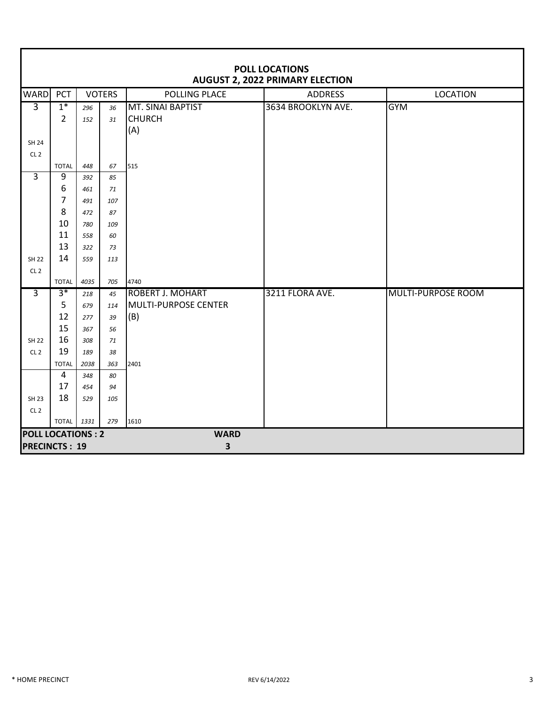|                                 | <b>POLL LOCATIONS</b><br><b>AUGUST 2, 2022 PRIMARY ELECTION</b> |      |               |                         |                    |                           |  |  |  |  |
|---------------------------------|-----------------------------------------------------------------|------|---------------|-------------------------|--------------------|---------------------------|--|--|--|--|
| <b>WARD</b>                     | PCT                                                             |      | <b>VOTERS</b> | POLLING PLACE           | <b>ADDRESS</b>     | <b>LOCATION</b>           |  |  |  |  |
| $\overline{3}$                  | $1*$                                                            | 296  | 36            | MT. SINAI BAPTIST       | 3634 BROOKLYN AVE. | <b>GYM</b>                |  |  |  |  |
|                                 | $\overline{2}$                                                  | 152  | 31            | <b>CHURCH</b>           |                    |                           |  |  |  |  |
|                                 |                                                                 |      |               | (A)                     |                    |                           |  |  |  |  |
| <b>SH 24</b><br>CL <sub>2</sub> |                                                                 |      |               |                         |                    |                           |  |  |  |  |
|                                 | <b>TOTAL</b>                                                    | 448  | 67            | 515                     |                    |                           |  |  |  |  |
| $\overline{3}$                  | 9                                                               | 392  | 85            |                         |                    |                           |  |  |  |  |
|                                 | 6                                                               | 461  | 71            |                         |                    |                           |  |  |  |  |
|                                 | 7                                                               | 491  | 107           |                         |                    |                           |  |  |  |  |
|                                 | 8                                                               | 472  | 87            |                         |                    |                           |  |  |  |  |
|                                 | 10                                                              | 780  | 109           |                         |                    |                           |  |  |  |  |
|                                 | 11                                                              | 558  | 60            |                         |                    |                           |  |  |  |  |
|                                 | 13                                                              | 322  | 73            |                         |                    |                           |  |  |  |  |
| <b>SH 22</b>                    | 14                                                              | 559  | 113           |                         |                    |                           |  |  |  |  |
| CL <sub>2</sub>                 | <b>TOTAL</b>                                                    | 4035 | 705           | 4740                    |                    |                           |  |  |  |  |
| $\overline{3}$                  | $3*$                                                            | 218  | 45            | <b>ROBERT J. MOHART</b> | 3211 FLORA AVE.    | <b>MULTI-PURPOSE ROOM</b> |  |  |  |  |
|                                 | 5                                                               | 679  | 114           | MULTI-PURPOSE CENTER    |                    |                           |  |  |  |  |
|                                 | 12                                                              | 277  | 39            | (B)                     |                    |                           |  |  |  |  |
|                                 | 15                                                              | 367  | 56            |                         |                    |                           |  |  |  |  |
| <b>SH 22</b>                    | 16                                                              | 308  | 71            |                         |                    |                           |  |  |  |  |
| CL <sub>2</sub>                 | 19                                                              | 189  | 38            |                         |                    |                           |  |  |  |  |
|                                 | <b>TOTAL</b>                                                    | 2038 | 363           | 2401                    |                    |                           |  |  |  |  |
|                                 | 4                                                               | 348  | 80            |                         |                    |                           |  |  |  |  |
|                                 | 17                                                              | 454  | 94            |                         |                    |                           |  |  |  |  |
| <b>SH 23</b>                    | 18                                                              | 529  | 105           |                         |                    |                           |  |  |  |  |
| CL <sub>2</sub>                 | TOTAL 1331                                                      |      | 279           | 1610                    |                    |                           |  |  |  |  |
| <b>POLL LOCATIONS: 2</b>        |                                                                 |      |               | <b>WARD</b>             |                    |                           |  |  |  |  |
| <b>PRECINCTS: 19</b>            |                                                                 |      |               | 3                       |                    |                           |  |  |  |  |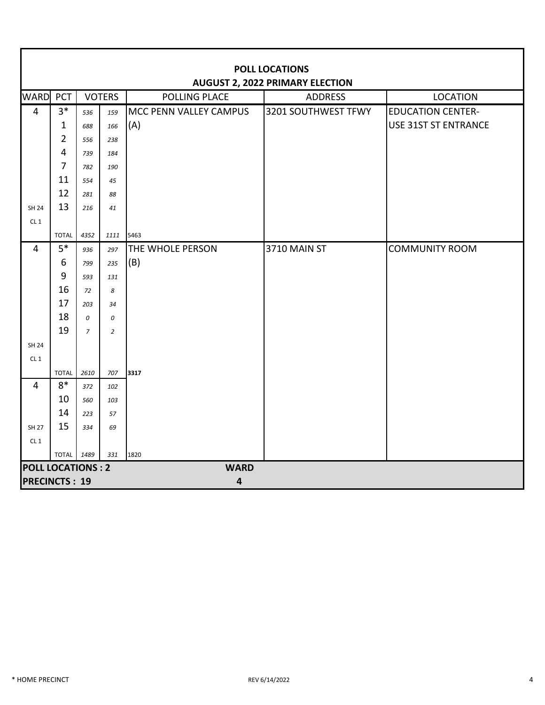|                          | <b>POLL LOCATIONS</b><br><b>AUGUST 2, 2022 PRIMARY ELECTION</b> |                |                |                         |                     |                             |  |  |  |  |  |
|--------------------------|-----------------------------------------------------------------|----------------|----------------|-------------------------|---------------------|-----------------------------|--|--|--|--|--|
| <b>WARD</b>              | PCT                                                             |                | <b>VOTERS</b>  | <b>POLLING PLACE</b>    | <b>ADDRESS</b>      | <b>LOCATION</b>             |  |  |  |  |  |
| 4                        | $3*$                                                            | 536            | 159            | MCC PENN VALLEY CAMPUS  | 3201 SOUTHWEST TFWY | <b>EDUCATION CENTER-</b>    |  |  |  |  |  |
|                          | $\mathbf{1}$                                                    | 688            | 166            | (A)                     |                     | <b>USE 31ST ST ENTRANCE</b> |  |  |  |  |  |
|                          | $\overline{2}$                                                  | 556            | 238            |                         |                     |                             |  |  |  |  |  |
|                          | $\overline{\mathbf{4}}$                                         | 739            | 184            |                         |                     |                             |  |  |  |  |  |
|                          | $\overline{7}$                                                  | 782            | 190            |                         |                     |                             |  |  |  |  |  |
|                          | 11                                                              | 554            | 45             |                         |                     |                             |  |  |  |  |  |
|                          | 12                                                              | 281            | 88             |                         |                     |                             |  |  |  |  |  |
| <b>SH 24</b>             | 13                                                              | 216            | 41             |                         |                     |                             |  |  |  |  |  |
| CL <sub>1</sub>          |                                                                 |                |                |                         |                     |                             |  |  |  |  |  |
|                          | <b>TOTAL</b>                                                    | 4352           | 1111           | 5463                    |                     |                             |  |  |  |  |  |
| $\overline{4}$           | $5*$                                                            | 936            | 297            | <b>THE WHOLE PERSON</b> | 3710 MAIN ST        | <b>COMMUNITY ROOM</b>       |  |  |  |  |  |
|                          | 6                                                               | 799            | 235            | (B)                     |                     |                             |  |  |  |  |  |
|                          | 9                                                               | 593            | 131            |                         |                     |                             |  |  |  |  |  |
|                          | 16                                                              | 72             | 8              |                         |                     |                             |  |  |  |  |  |
|                          | 17                                                              | 203            | 34             |                         |                     |                             |  |  |  |  |  |
|                          | 18                                                              | 0              | 0              |                         |                     |                             |  |  |  |  |  |
|                          | 19                                                              | $\overline{7}$ | $\overline{2}$ |                         |                     |                             |  |  |  |  |  |
| <b>SH 24</b>             |                                                                 |                |                |                         |                     |                             |  |  |  |  |  |
| CL1                      |                                                                 |                |                |                         |                     |                             |  |  |  |  |  |
| $\overline{4}$           | <b>TOTAL</b><br>$8*$                                            | 2610           | 707            | 3317                    |                     |                             |  |  |  |  |  |
|                          | 10                                                              | 372            | 102            |                         |                     |                             |  |  |  |  |  |
|                          | 14                                                              | 560            | 103            |                         |                     |                             |  |  |  |  |  |
| <b>SH 27</b>             | 15                                                              | 223<br>334     | 57<br>69       |                         |                     |                             |  |  |  |  |  |
| CL <sub>1</sub>          |                                                                 |                |                |                         |                     |                             |  |  |  |  |  |
|                          | TOTAL 1489                                                      |                | 331            | 1820                    |                     |                             |  |  |  |  |  |
| <b>POLL LOCATIONS: 2</b> |                                                                 |                |                | <b>WARD</b>             |                     |                             |  |  |  |  |  |
| <b>PRECINCTS: 19</b>     |                                                                 |                |                | $\overline{\mathbf{4}}$ |                     |                             |  |  |  |  |  |

П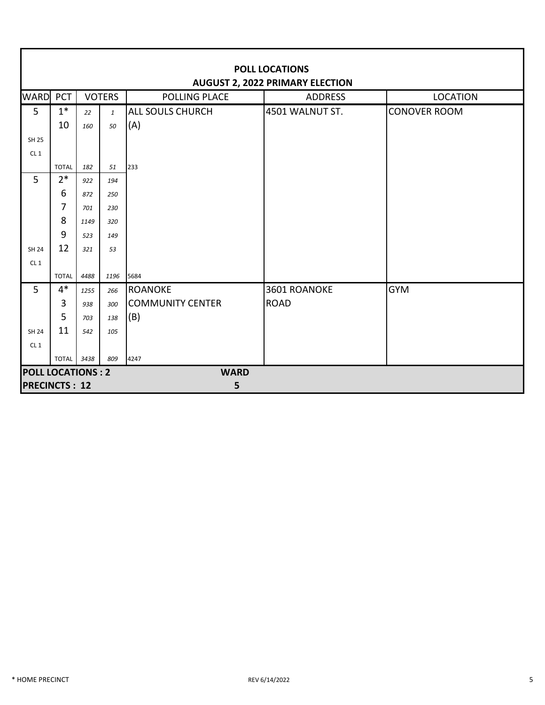|                          | <b>POLL LOCATIONS</b>                  |      |               |                         |                 |                     |  |  |  |  |  |
|--------------------------|----------------------------------------|------|---------------|-------------------------|-----------------|---------------------|--|--|--|--|--|
|                          | <b>AUGUST 2, 2022 PRIMARY ELECTION</b> |      |               |                         |                 |                     |  |  |  |  |  |
| <b>WARD</b>              | PCT                                    |      | <b>VOTERS</b> | <b>POLLING PLACE</b>    | <b>ADDRESS</b>  | <b>LOCATION</b>     |  |  |  |  |  |
| 5                        | $1^*$                                  | 22   | $\mathbf{1}$  | <b>ALL SOULS CHURCH</b> | 4501 WALNUT ST. | <b>CONOVER ROOM</b> |  |  |  |  |  |
|                          | 10                                     | 160  | 50            | (A)                     |                 |                     |  |  |  |  |  |
| <b>SH 25</b>             |                                        |      |               |                         |                 |                     |  |  |  |  |  |
| CL1                      |                                        |      |               |                         |                 |                     |  |  |  |  |  |
|                          | <b>TOTAL</b>                           | 182  | 51            | 233                     |                 |                     |  |  |  |  |  |
| 5                        | $2*$                                   | 922  | 194           |                         |                 |                     |  |  |  |  |  |
|                          | 6                                      | 872  | 250           |                         |                 |                     |  |  |  |  |  |
|                          | 7                                      | 701  | 230           |                         |                 |                     |  |  |  |  |  |
|                          | 8                                      | 1149 | 320           |                         |                 |                     |  |  |  |  |  |
|                          | 9                                      | 523  | 149           |                         |                 |                     |  |  |  |  |  |
| SH 24                    | 12                                     | 321  | 53            |                         |                 |                     |  |  |  |  |  |
| CL1                      |                                        |      |               |                         |                 |                     |  |  |  |  |  |
|                          | <b>TOTAL</b>                           | 4488 | 1196          | 5684                    |                 |                     |  |  |  |  |  |
| 5                        | $4*$                                   | 1255 | 266           | <b>ROANOKE</b>          | 3601 ROANOKE    | <b>GYM</b>          |  |  |  |  |  |
|                          | 3                                      | 938  | 300           | <b>COMMUNITY CENTER</b> | <b>ROAD</b>     |                     |  |  |  |  |  |
|                          | 5                                      | 703  | 138           | (B)                     |                 |                     |  |  |  |  |  |
| <b>SH 24</b>             | 11                                     | 542  | 105           |                         |                 |                     |  |  |  |  |  |
| CL1                      |                                        |      |               |                         |                 |                     |  |  |  |  |  |
|                          | <b>TOTAL</b>                           | 3438 | 809           | 4247                    |                 |                     |  |  |  |  |  |
| <b>POLL LOCATIONS: 2</b> |                                        |      |               | <b>WARD</b>             |                 |                     |  |  |  |  |  |
| <b>PRECINCTS: 12</b>     |                                        |      |               | 5                       |                 |                     |  |  |  |  |  |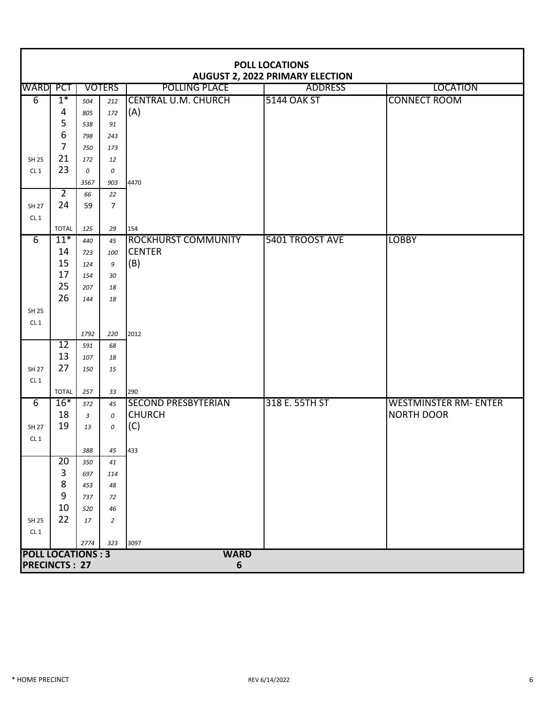|                                 | <b>POLL LOCATIONS</b><br><b>AUGUST 2, 2022 PRIMARY ELECTION</b> |            |                |                            |                    |                              |  |  |  |  |
|---------------------------------|-----------------------------------------------------------------|------------|----------------|----------------------------|--------------------|------------------------------|--|--|--|--|
| <b>WARD</b> PCT                 |                                                                 |            | <b>VOTERS</b>  | POLLING PLACE              | <b>ADDRESS</b>     | <b>LOCATION</b>              |  |  |  |  |
| $\overline{6}$                  | $1*$                                                            | 504        | 212            | <b>CENTRAL U.M. CHURCH</b> | <b>5144 OAK ST</b> | <b>CONNECT ROOM</b>          |  |  |  |  |
|                                 | 4                                                               | 805        | 172            | (A)                        |                    |                              |  |  |  |  |
|                                 | 5                                                               | 538        | 91             |                            |                    |                              |  |  |  |  |
|                                 | $\boldsymbol{6}$                                                | 798        | 243            |                            |                    |                              |  |  |  |  |
|                                 | $\overline{7}$                                                  | 750        | 173            |                            |                    |                              |  |  |  |  |
| <b>SH 25</b>                    | 21                                                              | 172        | 12             |                            |                    |                              |  |  |  |  |
| CL1                             | 23                                                              | $\theta$   | 0              |                            |                    |                              |  |  |  |  |
|                                 |                                                                 | 3567       | 903            | 4470                       |                    |                              |  |  |  |  |
|                                 | $\overline{2}$                                                  | 66         | 22             |                            |                    |                              |  |  |  |  |
| <b>SH 27</b>                    | 24                                                              | 59         | $\overline{7}$ |                            |                    |                              |  |  |  |  |
| CL1                             |                                                                 |            |                |                            |                    |                              |  |  |  |  |
|                                 | <b>TOTAL</b>                                                    | 125        | 29             | 154                        |                    |                              |  |  |  |  |
| $\overline{6}$                  | $11*$                                                           | 440        | 45             | <b>ROCKHURST COMMUNITY</b> | 5401 TROOST AVE    | <b>LOBBY</b>                 |  |  |  |  |
|                                 | 14<br>15                                                        | 723        | 100            | <b>CENTER</b>              |                    |                              |  |  |  |  |
|                                 | 17                                                              | 124        | 9              | (B)                        |                    |                              |  |  |  |  |
|                                 | 25                                                              | 154        | 30             |                            |                    |                              |  |  |  |  |
|                                 | 26                                                              | 207<br>144 | 18<br>18       |                            |                    |                              |  |  |  |  |
| <b>SH 25</b>                    |                                                                 |            |                |                            |                    |                              |  |  |  |  |
| CL <sub>1</sub>                 |                                                                 |            |                |                            |                    |                              |  |  |  |  |
|                                 |                                                                 | 1792       | 220            | 2012                       |                    |                              |  |  |  |  |
|                                 | $\overline{12}$                                                 | 591        | 68             |                            |                    |                              |  |  |  |  |
|                                 | 13                                                              | 107        | 18             |                            |                    |                              |  |  |  |  |
| <b>SH 27</b>                    | 27                                                              | 150        | 15             |                            |                    |                              |  |  |  |  |
| CL1                             |                                                                 |            |                |                            |                    |                              |  |  |  |  |
|                                 | <b>TOTAL</b>                                                    | 257        | 33             | 290                        |                    |                              |  |  |  |  |
| $\overline{6}$                  | $16*$                                                           | 372        | 45             | <b>SECOND PRESBYTERIAN</b> | 318 E. 55TH ST     | <b>WESTMINSTER RM- ENTER</b> |  |  |  |  |
|                                 | 18                                                              | 3          | 0              | <b>CHURCH</b>              |                    | <b>NORTH DOOR</b>            |  |  |  |  |
| <b>SH 27</b>                    | 19                                                              | 13         | 0              | (C)                        |                    |                              |  |  |  |  |
| CL <sub>1</sub>                 |                                                                 |            |                |                            |                    |                              |  |  |  |  |
|                                 |                                                                 | 388        | 45             | 433                        |                    |                              |  |  |  |  |
|                                 | 20                                                              | 350        | 41             |                            |                    |                              |  |  |  |  |
|                                 | 3                                                               | 697        | 114            |                            |                    |                              |  |  |  |  |
|                                 | 8<br>9                                                          | 453        | 48             |                            |                    |                              |  |  |  |  |
|                                 | 10                                                              | 737        | 72             |                            |                    |                              |  |  |  |  |
|                                 | 22                                                              | 520        | 46             |                            |                    |                              |  |  |  |  |
| <b>SH 25</b><br>CL <sub>1</sub> |                                                                 | 17         | 2              |                            |                    |                              |  |  |  |  |
|                                 |                                                                 | 2774       | 323            | 3097                       |                    |                              |  |  |  |  |
| <b>POLL LOCATIONS: 3</b>        |                                                                 |            |                | <b>WARD</b>                |                    |                              |  |  |  |  |
| <b>PRECINCTS: 27</b>            |                                                                 |            |                | $6\phantom{1}6$            |                    |                              |  |  |  |  |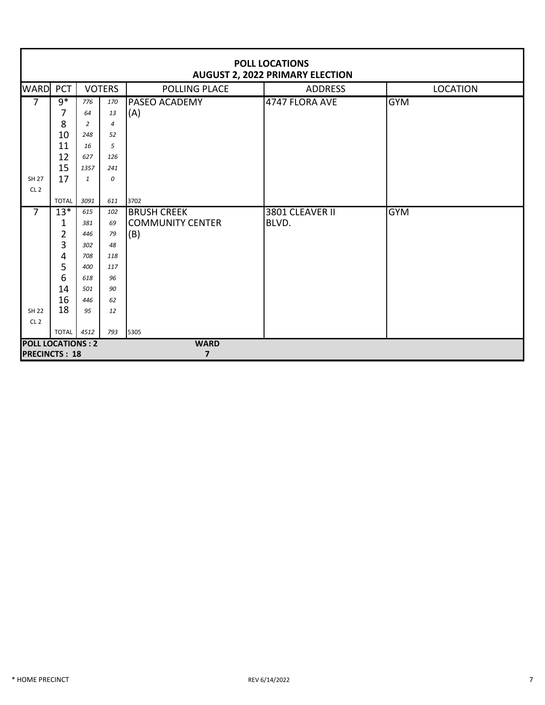| <b>POLL LOCATIONS</b><br><b>AUGUST 2, 2022 PRIMARY ELECTION</b> |                     |              |                |                         |                 |                 |  |  |  |
|-----------------------------------------------------------------|---------------------|--------------|----------------|-------------------------|-----------------|-----------------|--|--|--|
| <b>WARD</b>                                                     | PCT                 |              | <b>VOTERS</b>  | POLLING PLACE           | <b>ADDRESS</b>  | <b>LOCATION</b> |  |  |  |
| $\overline{7}$                                                  | $9*$                | 776          | 170            | <b>PASEO ACADEMY</b>    | 4747 FLORA AVE  | <b>GYM</b>      |  |  |  |
|                                                                 | 7                   | 64           | 13             | (A)                     |                 |                 |  |  |  |
|                                                                 | 8                   | 2            | $\overline{4}$ |                         |                 |                 |  |  |  |
|                                                                 | 10                  | 248          | 52             |                         |                 |                 |  |  |  |
|                                                                 | 11                  | 16           | 5              |                         |                 |                 |  |  |  |
|                                                                 | 12                  | 627          | 126            |                         |                 |                 |  |  |  |
|                                                                 | 15                  | 1357         | 241            |                         |                 |                 |  |  |  |
| <b>SH 27</b>                                                    | 17                  | $\mathbf{1}$ | 0              |                         |                 |                 |  |  |  |
| CL <sub>2</sub>                                                 |                     |              |                |                         |                 |                 |  |  |  |
|                                                                 | <b>TOTAL</b>        | 3091         | 611            | 3702                    |                 |                 |  |  |  |
| $\overline{7}$                                                  | $13*$               | 615          | 102            | <b>BRUSH CREEK</b>      | 3801 CLEAVER II | <b>GYM</b>      |  |  |  |
|                                                                 | 1                   | 381          | 69             | <b>COMMUNITY CENTER</b> | BLVD.           |                 |  |  |  |
|                                                                 | $\overline{2}$<br>3 | 446          | 79             | (B)                     |                 |                 |  |  |  |
|                                                                 | 4                   | 302<br>708   | 48<br>118      |                         |                 |                 |  |  |  |
|                                                                 | 5                   | 400          | 117            |                         |                 |                 |  |  |  |
|                                                                 | 6                   | 618          | 96             |                         |                 |                 |  |  |  |
|                                                                 | 14                  | 501          | 90             |                         |                 |                 |  |  |  |
|                                                                 | 16                  | 446          | 62             |                         |                 |                 |  |  |  |
| <b>SH 22</b>                                                    | 18                  | 95           | 12             |                         |                 |                 |  |  |  |
| CL <sub>2</sub>                                                 |                     |              |                |                         |                 |                 |  |  |  |
|                                                                 | <b>TOTAL</b>        | 4512         | 793            | 5305                    |                 |                 |  |  |  |
| <b>POLL LOCATIONS: 2</b>                                        |                     |              |                | <b>WARD</b>             |                 |                 |  |  |  |
| <b>PRECINCTS: 18</b>                                            |                     |              |                | $\overline{\mathbf{z}}$ |                 |                 |  |  |  |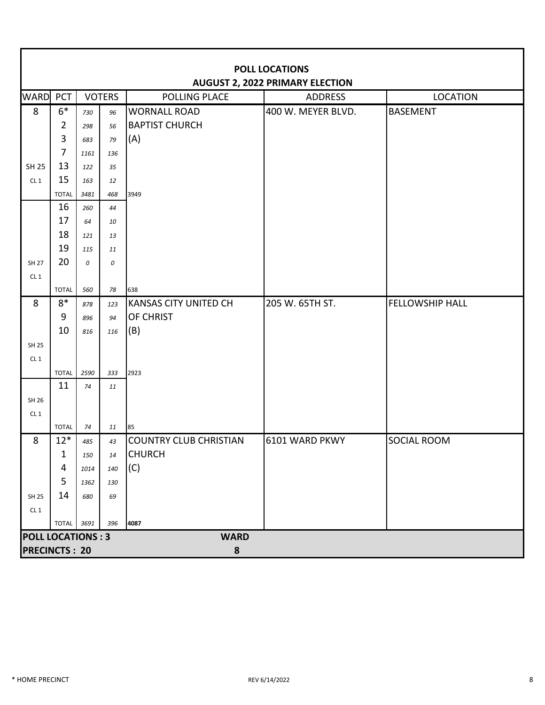|                          | <b>POLL LOCATIONS</b><br><b>AUGUST 2, 2022 PRIMARY ELECTION</b> |      |               |                               |                    |                        |  |  |  |  |
|--------------------------|-----------------------------------------------------------------|------|---------------|-------------------------------|--------------------|------------------------|--|--|--|--|
| <b>WARD</b>              | PCT                                                             |      | <b>VOTERS</b> | POLLING PLACE                 | <b>ADDRESS</b>     | <b>LOCATION</b>        |  |  |  |  |
| 8                        | $6*$                                                            | 730  | 96            | <b>WORNALL ROAD</b>           | 400 W. MEYER BLVD. | <b>BASEMENT</b>        |  |  |  |  |
|                          | $\overline{2}$                                                  | 298  | 56            | <b>BAPTIST CHURCH</b>         |                    |                        |  |  |  |  |
|                          | 3                                                               | 683  | 79            | (A)                           |                    |                        |  |  |  |  |
|                          | $\overline{7}$                                                  | 1161 | 136           |                               |                    |                        |  |  |  |  |
| <b>SH 25</b>             | 13                                                              | 122  | 35            |                               |                    |                        |  |  |  |  |
| CL1                      | 15                                                              | 163  | 12            |                               |                    |                        |  |  |  |  |
|                          | <b>TOTAL</b>                                                    | 3481 | 468           | 3949                          |                    |                        |  |  |  |  |
|                          | 16                                                              | 260  | 44            |                               |                    |                        |  |  |  |  |
|                          | 17                                                              | 64   | 10            |                               |                    |                        |  |  |  |  |
|                          | 18                                                              | 121  | 13            |                               |                    |                        |  |  |  |  |
|                          | 19<br>20                                                        | 115  | 11            |                               |                    |                        |  |  |  |  |
| <b>SH 27</b>             |                                                                 | 0    | 0             |                               |                    |                        |  |  |  |  |
| CL1                      | <b>TOTAL</b>                                                    | 560  | 78            | 638                           |                    |                        |  |  |  |  |
| 8                        | $8*$                                                            | 878  | 123           | <b>KANSAS CITY UNITED CH</b>  | 205 W. 65TH ST.    | <b>FELLOWSHIP HALL</b> |  |  |  |  |
|                          | 9                                                               | 896  | 94            | OF CHRIST                     |                    |                        |  |  |  |  |
|                          | 10                                                              | 816  | 116           | (B)                           |                    |                        |  |  |  |  |
| <b>SH 25</b>             |                                                                 |      |               |                               |                    |                        |  |  |  |  |
| CL1                      |                                                                 |      |               |                               |                    |                        |  |  |  |  |
|                          | <b>TOTAL</b>                                                    | 2590 | 333           | 2923                          |                    |                        |  |  |  |  |
|                          | 11                                                              | 74   | 11            |                               |                    |                        |  |  |  |  |
| SH 26                    |                                                                 |      |               |                               |                    |                        |  |  |  |  |
| CL1                      |                                                                 |      |               |                               |                    |                        |  |  |  |  |
|                          | <b>TOTAL</b>                                                    | 74   | 11            | 85                            |                    |                        |  |  |  |  |
| 8                        | $12*$                                                           | 485  | 43            | <b>COUNTRY CLUB CHRISTIAN</b> | 6101 WARD PKWY     | <b>SOCIAL ROOM</b>     |  |  |  |  |
|                          | 1                                                               | 150  | 14            | <b>CHURCH</b>                 |                    |                        |  |  |  |  |
|                          | 4                                                               | 1014 | 140           | (C)                           |                    |                        |  |  |  |  |
|                          | 5                                                               | 1362 | 130           |                               |                    |                        |  |  |  |  |
| SH 25                    | 14                                                              | 680  | 69            |                               |                    |                        |  |  |  |  |
| CL1                      |                                                                 |      |               |                               |                    |                        |  |  |  |  |
|                          | <b>TOTAL</b> 3691                                               |      | 396           | 4087                          |                    |                        |  |  |  |  |
| <b>POLL LOCATIONS: 3</b> |                                                                 |      |               | <b>WARD</b>                   |                    |                        |  |  |  |  |
| <b>PRECINCTS: 20</b>     |                                                                 |      |               | ${\bf 8}$                     |                    |                        |  |  |  |  |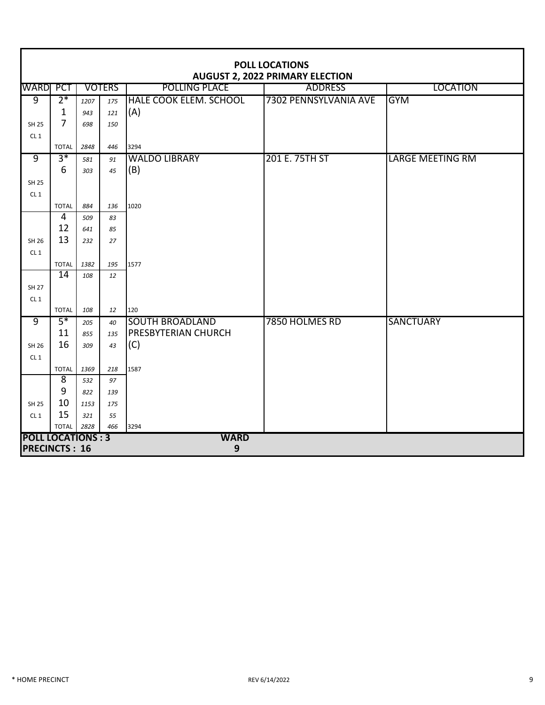|                          | <b>POLL LOCATIONS</b><br><b>AUGUST 2, 2022 PRIMARY ELECTION</b> |      |               |                               |                       |                         |  |  |  |  |
|--------------------------|-----------------------------------------------------------------|------|---------------|-------------------------------|-----------------------|-------------------------|--|--|--|--|
| WARD PCT                 |                                                                 |      | <b>VOTERS</b> | <b>POLLING PLACE</b>          | <b>ADDRESS</b>        | <b>LOCATION</b>         |  |  |  |  |
| 9                        | $2*$                                                            | 1207 | 175           | <b>HALE COOK ELEM. SCHOOL</b> | 7302 PENNSYLVANIA AVE | <b>GYM</b>              |  |  |  |  |
|                          | 1                                                               | 943  | 121           | (A)                           |                       |                         |  |  |  |  |
| <b>SH 25</b>             | $\overline{7}$                                                  | 698  | 150           |                               |                       |                         |  |  |  |  |
| CL1                      |                                                                 |      |               |                               |                       |                         |  |  |  |  |
|                          | <b>TOTAL</b>                                                    | 2848 | 446           | 3294                          |                       |                         |  |  |  |  |
| $\overline{9}$           | $3*$                                                            | 581  | 91            | <b>WALDO LIBRARY</b>          | 201 E. 75TH ST        | <b>LARGE MEETING RM</b> |  |  |  |  |
|                          | 6                                                               | 303  | 45            | (B)                           |                       |                         |  |  |  |  |
| <b>SH 25</b>             |                                                                 |      |               |                               |                       |                         |  |  |  |  |
| CL <sub>1</sub>          |                                                                 |      |               |                               |                       |                         |  |  |  |  |
|                          | <b>TOTAL</b>                                                    | 884  | 136           | 1020                          |                       |                         |  |  |  |  |
|                          | $\overline{4}$                                                  | 509  | 83            |                               |                       |                         |  |  |  |  |
|                          | 12                                                              | 641  | 85            |                               |                       |                         |  |  |  |  |
| SH 26                    | 13                                                              | 232  | 27            |                               |                       |                         |  |  |  |  |
| CL1                      |                                                                 |      |               |                               |                       |                         |  |  |  |  |
|                          | <b>TOTAL</b>                                                    | 1382 | 195           | 1577                          |                       |                         |  |  |  |  |
|                          | $\overline{14}$                                                 | 108  | 12            |                               |                       |                         |  |  |  |  |
| <b>SH 27</b>             |                                                                 |      |               |                               |                       |                         |  |  |  |  |
| CL1                      |                                                                 |      |               |                               |                       |                         |  |  |  |  |
|                          | <b>TOTAL</b>                                                    | 108  | 12            | 120                           |                       |                         |  |  |  |  |
| $\overline{9}$           | $5*$                                                            | 205  | 40            | <b>SOUTH BROADLAND</b>        | 7850 HOLMES RD        | <b>SANCTUARY</b>        |  |  |  |  |
|                          | 11                                                              | 855  | 135           | <b>PRESBYTERIAN CHURCH</b>    |                       |                         |  |  |  |  |
| SH 26                    | 16                                                              | 309  | 43            | (C)                           |                       |                         |  |  |  |  |
| CL <sub>1</sub>          |                                                                 |      |               |                               |                       |                         |  |  |  |  |
|                          | <b>TOTAL</b>                                                    | 1369 | 218           | 1587                          |                       |                         |  |  |  |  |
|                          | $\overline{8}$                                                  | 532  | 97            |                               |                       |                         |  |  |  |  |
|                          | 9                                                               | 822  | 139           |                               |                       |                         |  |  |  |  |
| <b>SH 25</b>             | 10                                                              | 1153 | 175           |                               |                       |                         |  |  |  |  |
| CL1                      | 15                                                              | 321  | 55            |                               |                       |                         |  |  |  |  |
|                          | <b>TOTAL</b>                                                    | 2828 | 466           | 3294                          |                       |                         |  |  |  |  |
| <b>POLL LOCATIONS: 3</b> |                                                                 |      |               | <b>WARD</b>                   |                       |                         |  |  |  |  |
| <b>PRECINCTS: 16</b>     |                                                                 |      |               | $\boldsymbol{9}$              |                       |                         |  |  |  |  |

ī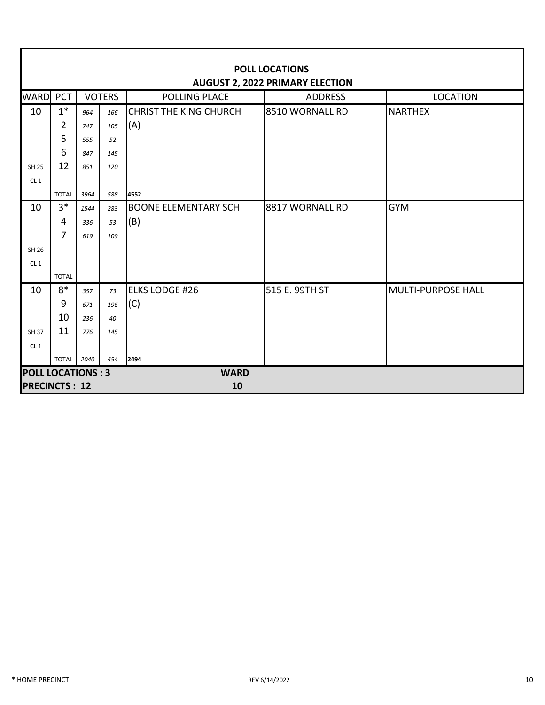|                                        | <b>POLL LOCATIONS</b> |      |               |                               |                 |                           |  |  |  |  |
|----------------------------------------|-----------------------|------|---------------|-------------------------------|-----------------|---------------------------|--|--|--|--|
| <b>AUGUST 2, 2022 PRIMARY ELECTION</b> |                       |      |               |                               |                 |                           |  |  |  |  |
| <b>WARD</b>                            | PCT                   |      | <b>VOTERS</b> | <b>POLLING PLACE</b>          | <b>ADDRESS</b>  | <b>LOCATION</b>           |  |  |  |  |
| 10                                     | $1*$                  | 964  | 166           | <b>CHRIST THE KING CHURCH</b> | 8510 WORNALL RD | <b>NARTHEX</b>            |  |  |  |  |
|                                        | 2                     | 747  | 105           | (A)                           |                 |                           |  |  |  |  |
|                                        | 5                     | 555  | 52            |                               |                 |                           |  |  |  |  |
|                                        | 6                     | 847  | 145           |                               |                 |                           |  |  |  |  |
| <b>SH 25</b>                           | 12                    | 851  | 120           |                               |                 |                           |  |  |  |  |
| CL1                                    |                       |      |               |                               |                 |                           |  |  |  |  |
|                                        | <b>TOTAL</b>          | 3964 | 588           | 4552                          |                 |                           |  |  |  |  |
| 10                                     | $3*$                  | 1544 | 283           | <b>BOONE ELEMENTARY SCH</b>   | 8817 WORNALL RD | <b>GYM</b>                |  |  |  |  |
|                                        | 4                     | 336  | 53            | (B)                           |                 |                           |  |  |  |  |
|                                        | $\overline{7}$        | 619  | 109           |                               |                 |                           |  |  |  |  |
| SH 26                                  |                       |      |               |                               |                 |                           |  |  |  |  |
| CL1                                    |                       |      |               |                               |                 |                           |  |  |  |  |
|                                        | <b>TOTAL</b>          |      |               |                               |                 |                           |  |  |  |  |
| 10                                     | $8*$                  | 357  | 73            | <b>ELKS LODGE #26</b>         | 515 E. 99TH ST  | <b>MULTI-PURPOSE HALL</b> |  |  |  |  |
|                                        | 9                     | 671  | 196           | (C)                           |                 |                           |  |  |  |  |
|                                        | 10                    | 236  | 40            |                               |                 |                           |  |  |  |  |
| <b>SH 37</b>                           | 11                    | 776  | 145           |                               |                 |                           |  |  |  |  |
| CL1                                    |                       |      |               |                               |                 |                           |  |  |  |  |
|                                        | <b>TOTAL</b>          | 2040 | 454           | 2494                          |                 |                           |  |  |  |  |
| <b>POLL LOCATIONS: 3</b>               |                       |      |               | <b>WARD</b>                   |                 |                           |  |  |  |  |
| <b>PRECINCTS: 12</b>                   |                       |      |               | 10                            |                 |                           |  |  |  |  |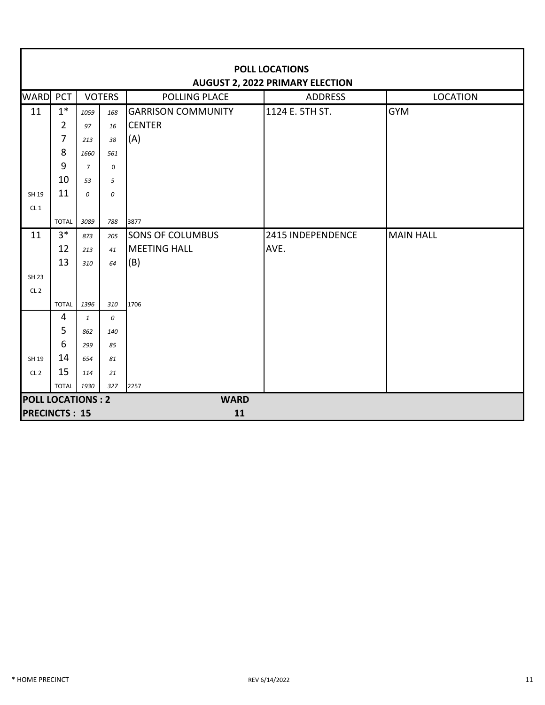|                          | <b>POLL LOCATIONS</b><br><b>AUGUST 2, 2022 PRIMARY ELECTION</b> |                |               |                           |                   |                  |  |  |  |  |
|--------------------------|-----------------------------------------------------------------|----------------|---------------|---------------------------|-------------------|------------------|--|--|--|--|
| <b>WARD</b>              | PCT                                                             |                | <b>VOTERS</b> | <b>POLLING PLACE</b>      | <b>ADDRESS</b>    | <b>LOCATION</b>  |  |  |  |  |
| 11                       | $1^*$                                                           | 1059           | 168           | <b>GARRISON COMMUNITY</b> | 1124 E. 5TH ST.   | <b>GYM</b>       |  |  |  |  |
|                          | $\overline{2}$                                                  | 97             | 16            | <b>CENTER</b>             |                   |                  |  |  |  |  |
|                          | 7                                                               | 213            | 38            | (A)                       |                   |                  |  |  |  |  |
|                          | 8                                                               | 1660           | 561           |                           |                   |                  |  |  |  |  |
|                          | 9                                                               | $\overline{7}$ | $\mathbf 0$   |                           |                   |                  |  |  |  |  |
|                          | 10                                                              | 53             | 5             |                           |                   |                  |  |  |  |  |
| SH 19                    | 11                                                              | 0              | 0             |                           |                   |                  |  |  |  |  |
| CL1                      |                                                                 |                |               |                           |                   |                  |  |  |  |  |
|                          | <b>TOTAL</b>                                                    | 3089           | 788           | 3877                      |                   |                  |  |  |  |  |
| 11                       | $3*$                                                            | 873            | 205           | <b>SONS OF COLUMBUS</b>   | 2415 INDEPENDENCE | <b>MAIN HALL</b> |  |  |  |  |
|                          | 12                                                              | 213            | 41            | <b>MEETING HALL</b>       | AVE.              |                  |  |  |  |  |
|                          | 13                                                              | 310            | 64            | (B)                       |                   |                  |  |  |  |  |
| <b>SH 23</b>             |                                                                 |                |               |                           |                   |                  |  |  |  |  |
| CL <sub>2</sub>          |                                                                 |                |               |                           |                   |                  |  |  |  |  |
|                          | <b>TOTAL</b>                                                    | 1396           | 310           | 1706                      |                   |                  |  |  |  |  |
|                          | $\overline{4}$                                                  | $\mathbf{1}$   | 0             |                           |                   |                  |  |  |  |  |
|                          | 5                                                               | 862            | 140           |                           |                   |                  |  |  |  |  |
|                          | 6                                                               | 299            | 85            |                           |                   |                  |  |  |  |  |
| SH 19                    | 14                                                              | 654            | 81            |                           |                   |                  |  |  |  |  |
| CL <sub>2</sub>          | 15                                                              | 114            | 21            |                           |                   |                  |  |  |  |  |
|                          | <b>TOTAL</b>                                                    | 1930           | 327           | 2257                      |                   |                  |  |  |  |  |
| <b>POLL LOCATIONS: 2</b> |                                                                 |                |               | <b>WARD</b>               |                   |                  |  |  |  |  |
| <b>PRECINCTS: 15</b>     |                                                                 |                |               | 11                        |                   |                  |  |  |  |  |

П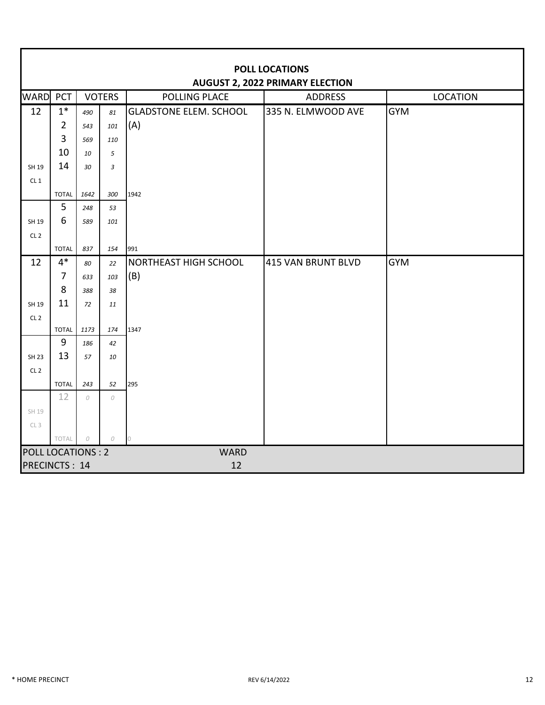|                          | <b>POLL LOCATIONS</b><br><b>AUGUST 2, 2022 PRIMARY ELECTION</b> |            |               |                               |                    |                 |  |  |  |  |
|--------------------------|-----------------------------------------------------------------|------------|---------------|-------------------------------|--------------------|-----------------|--|--|--|--|
| <b>WARD PCT</b>          |                                                                 |            | <b>VOTERS</b> | POLLING PLACE                 | <b>ADDRESS</b>     | <b>LOCATION</b> |  |  |  |  |
| 12                       | $1*$                                                            | 490        | 81            | <b>GLADSTONE ELEM. SCHOOL</b> | 335 N. ELMWOOD AVE | <b>GYM</b>      |  |  |  |  |
|                          | $\overline{2}$                                                  | 543        | 101           | (A)                           |                    |                 |  |  |  |  |
|                          | 3                                                               | 569        | 110           |                               |                    |                 |  |  |  |  |
|                          | 10                                                              | 10         | 5             |                               |                    |                 |  |  |  |  |
| SH 19                    | 14                                                              | 30         | 3             |                               |                    |                 |  |  |  |  |
| CL <sub>1</sub>          |                                                                 |            |               |                               |                    |                 |  |  |  |  |
|                          | <b>TOTAL</b>                                                    | 1642       | 300           | 1942                          |                    |                 |  |  |  |  |
|                          | 5                                                               | 248        | 53            |                               |                    |                 |  |  |  |  |
| SH 19                    | 6                                                               | 589        | 101           |                               |                    |                 |  |  |  |  |
| CL <sub>2</sub>          |                                                                 |            |               |                               |                    |                 |  |  |  |  |
|                          | <b>TOTAL</b>                                                    | 837        | 154           | 991                           |                    |                 |  |  |  |  |
| 12                       | $4*$                                                            | 80         | 22            | NORTHEAST HIGH SCHOOL         | 415 VAN BRUNT BLVD | <b>GYM</b>      |  |  |  |  |
|                          | $\overline{7}$                                                  | 633        | 103           | (B)                           |                    |                 |  |  |  |  |
|                          | 8                                                               | 388        | 38            |                               |                    |                 |  |  |  |  |
| SH 19                    | 11                                                              | 72         | 11            |                               |                    |                 |  |  |  |  |
| CL <sub>2</sub>          | <b>TOTAL</b>                                                    | 1173       | 174           | 1347                          |                    |                 |  |  |  |  |
|                          | 9                                                               | 186        | 42            |                               |                    |                 |  |  |  |  |
| <b>SH 23</b>             | 13                                                              | 57         | 10            |                               |                    |                 |  |  |  |  |
| CL <sub>2</sub>          |                                                                 |            |               |                               |                    |                 |  |  |  |  |
|                          | <b>TOTAL</b>                                                    | 243        | 52            | 295                           |                    |                 |  |  |  |  |
|                          | 12                                                              | 0          | 0             |                               |                    |                 |  |  |  |  |
| SH 19                    |                                                                 |            |               |                               |                    |                 |  |  |  |  |
| CL <sub>3</sub>          |                                                                 |            |               |                               |                    |                 |  |  |  |  |
|                          | TOTAL                                                           | ${\cal O}$ | 0             | $\circ$                       |                    |                 |  |  |  |  |
| <b>POLL LOCATIONS: 2</b> |                                                                 |            |               | <b>WARD</b>                   |                    |                 |  |  |  |  |
| <b>PRECINCTS: 14</b>     |                                                                 |            |               | 12                            |                    |                 |  |  |  |  |

П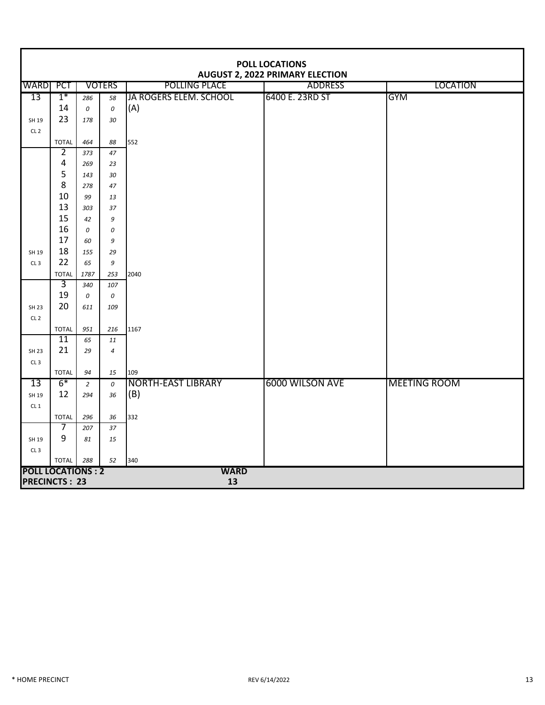|                          | <b>POLL LOCATIONS</b><br><b>AUGUST 2, 2022 PRIMARY ELECTION</b> |                |                |                        |                 |                     |  |  |  |  |  |
|--------------------------|-----------------------------------------------------------------|----------------|----------------|------------------------|-----------------|---------------------|--|--|--|--|--|
| <b>WARDI PCT</b>         |                                                                 |                | <b>VOTERS</b>  | POLLING PLACE          | <b>ADDRESS</b>  | <b>LOCATION</b>     |  |  |  |  |  |
| 13                       | $1*$                                                            | 286            | 58             | JA ROGERS ELEM. SCHOOL | 6400 E. 23RD ST | <b>GYM</b>          |  |  |  |  |  |
|                          | 14                                                              | 0              | 0              | (A)                    |                 |                     |  |  |  |  |  |
| SH 19                    | 23                                                              | 178            | 30             |                        |                 |                     |  |  |  |  |  |
| CL <sub>2</sub>          |                                                                 |                |                |                        |                 |                     |  |  |  |  |  |
|                          | <b>TOTAL</b>                                                    | 464            | 88             | 552                    |                 |                     |  |  |  |  |  |
|                          | $\overline{2}$                                                  | 373            | 47             |                        |                 |                     |  |  |  |  |  |
|                          | 4                                                               | 269            | 23             |                        |                 |                     |  |  |  |  |  |
|                          | 5                                                               | 143            | 30             |                        |                 |                     |  |  |  |  |  |
|                          | 8                                                               | 278            | 47             |                        |                 |                     |  |  |  |  |  |
|                          | 10                                                              | 99             | 13             |                        |                 |                     |  |  |  |  |  |
|                          | 13                                                              | 303            | 37             |                        |                 |                     |  |  |  |  |  |
|                          | 15<br>16                                                        | 42             | 9              |                        |                 |                     |  |  |  |  |  |
|                          | 17                                                              | 0              | 0              |                        |                 |                     |  |  |  |  |  |
| SH 19                    | 18                                                              | 60<br>155      | 9              |                        |                 |                     |  |  |  |  |  |
| CL3                      | 22                                                              | 65             | 29<br>9        |                        |                 |                     |  |  |  |  |  |
|                          | <b>TOTAL</b>                                                    | 1787           | 253            | 2040                   |                 |                     |  |  |  |  |  |
|                          | $\overline{3}$                                                  | 340            | 107            |                        |                 |                     |  |  |  |  |  |
|                          | 19                                                              | 0              | 0              |                        |                 |                     |  |  |  |  |  |
| <b>SH 23</b>             | 20                                                              | 611            | 109            |                        |                 |                     |  |  |  |  |  |
| CL <sub>2</sub>          |                                                                 |                |                |                        |                 |                     |  |  |  |  |  |
|                          | <b>TOTAL</b>                                                    | 951            | 216            | 1167                   |                 |                     |  |  |  |  |  |
|                          | 11                                                              | 65             | 11             |                        |                 |                     |  |  |  |  |  |
| <b>SH 23</b>             | 21                                                              | 29             | $\overline{4}$ |                        |                 |                     |  |  |  |  |  |
| CL3                      |                                                                 |                |                |                        |                 |                     |  |  |  |  |  |
|                          | <b>TOTAL</b>                                                    | 94             | 15             | 109                    |                 |                     |  |  |  |  |  |
| $\overline{13}$          | $6*$                                                            | $\overline{2}$ | 0              | NORTH-EAST LIBRARY     | 6000 WILSON AVE | <b>MEETING ROOM</b> |  |  |  |  |  |
| SH 19                    | 12                                                              | 294            | 36             | (B)                    |                 |                     |  |  |  |  |  |
| CL1                      |                                                                 |                |                |                        |                 |                     |  |  |  |  |  |
|                          | <b>TOTAL</b>                                                    | 296            | 36             | 332                    |                 |                     |  |  |  |  |  |
|                          | 7                                                               | 207            | 37             |                        |                 |                     |  |  |  |  |  |
| SH 19                    | 9                                                               | 81             | 15             |                        |                 |                     |  |  |  |  |  |
| CL3                      |                                                                 |                |                |                        |                 |                     |  |  |  |  |  |
| <b>POLL LOCATIONS: 2</b> | <b>TOTAL</b>                                                    | 288            | 52             | 340<br><b>WARD</b>     |                 |                     |  |  |  |  |  |
| <b>PRECINCTS: 23</b>     |                                                                 |                |                | 13                     |                 |                     |  |  |  |  |  |
|                          |                                                                 |                |                |                        |                 |                     |  |  |  |  |  |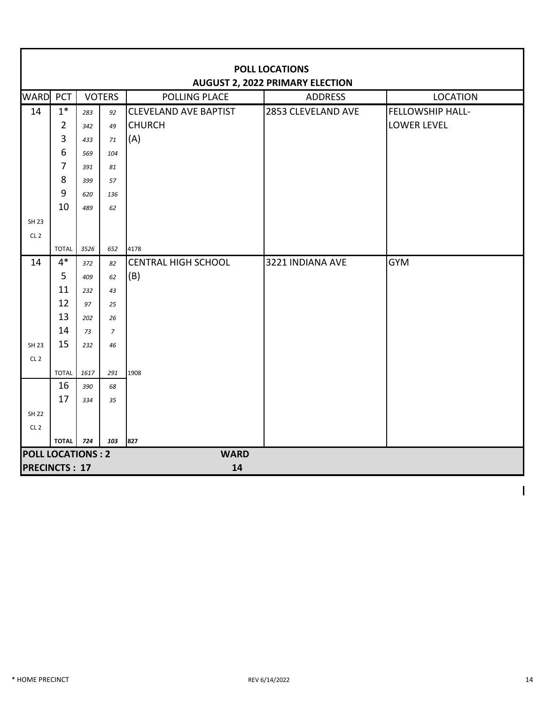|                          | <b>POLL LOCATIONS</b><br><b>AUGUST 2, 2022 PRIMARY ELECTION</b> |            |                |                              |                    |                         |  |  |  |
|--------------------------|-----------------------------------------------------------------|------------|----------------|------------------------------|--------------------|-------------------------|--|--|--|
| WARD PCT                 |                                                                 |            | <b>VOTERS</b>  | <b>POLLING PLACE</b>         | <b>ADDRESS</b>     | <b>LOCATION</b>         |  |  |  |
| 14                       | $1*$                                                            | 283        | 92             | <b>CLEVELAND AVE BAPTIST</b> | 2853 CLEVELAND AVE | <b>FELLOWSHIP HALL-</b> |  |  |  |
|                          | $\overline{2}$                                                  | 342        | 49             | <b>CHURCH</b>                |                    | <b>LOWER LEVEL</b>      |  |  |  |
|                          | 3                                                               | 433        | 71             | (A)                          |                    |                         |  |  |  |
|                          | 6                                                               | 569        | 104            |                              |                    |                         |  |  |  |
|                          | 7                                                               | 391        | 81             |                              |                    |                         |  |  |  |
|                          | 8                                                               | 399        | 57             |                              |                    |                         |  |  |  |
|                          | $9\,$                                                           | 620        | 136            |                              |                    |                         |  |  |  |
|                          | 10                                                              | 489        | 62             |                              |                    |                         |  |  |  |
| <b>SH 23</b>             |                                                                 |            |                |                              |                    |                         |  |  |  |
| CL <sub>2</sub>          |                                                                 |            |                |                              |                    |                         |  |  |  |
|                          | <b>TOTAL</b>                                                    | 3526       | 652            | 4178                         |                    |                         |  |  |  |
| 14                       | $4*$                                                            | 372        | 82             | <b>CENTRAL HIGH SCHOOL</b>   | 3221 INDIANA AVE   | <b>GYM</b>              |  |  |  |
|                          | 5                                                               | 409        | 62             | (B)                          |                    |                         |  |  |  |
|                          | 11                                                              | 232        | 43             |                              |                    |                         |  |  |  |
|                          | 12                                                              | 97         | 25             |                              |                    |                         |  |  |  |
|                          | 13                                                              | 202        | 26             |                              |                    |                         |  |  |  |
|                          | 14                                                              | 73         | $\overline{7}$ |                              |                    |                         |  |  |  |
| <b>SH 23</b>             | 15                                                              | 232        | 46             |                              |                    |                         |  |  |  |
| CL <sub>2</sub>          |                                                                 |            |                |                              |                    |                         |  |  |  |
|                          | <b>TOTAL</b><br>16                                              | 1617       | 291            | 1908                         |                    |                         |  |  |  |
|                          | 17                                                              | 390<br>334 | 68<br>35       |                              |                    |                         |  |  |  |
| <b>SH 22</b>             |                                                                 |            |                |                              |                    |                         |  |  |  |
| CL <sub>2</sub>          |                                                                 |            |                |                              |                    |                         |  |  |  |
|                          | <b>TOTAL</b>                                                    | 724        | 103            | 827                          |                    |                         |  |  |  |
| <b>POLL LOCATIONS: 2</b> |                                                                 |            |                | <b>WARD</b>                  |                    |                         |  |  |  |
|                          |                                                                 |            |                | 14                           |                    |                         |  |  |  |
|                          | <b>PRECINCTS: 17</b>                                            |            |                |                              |                    |                         |  |  |  |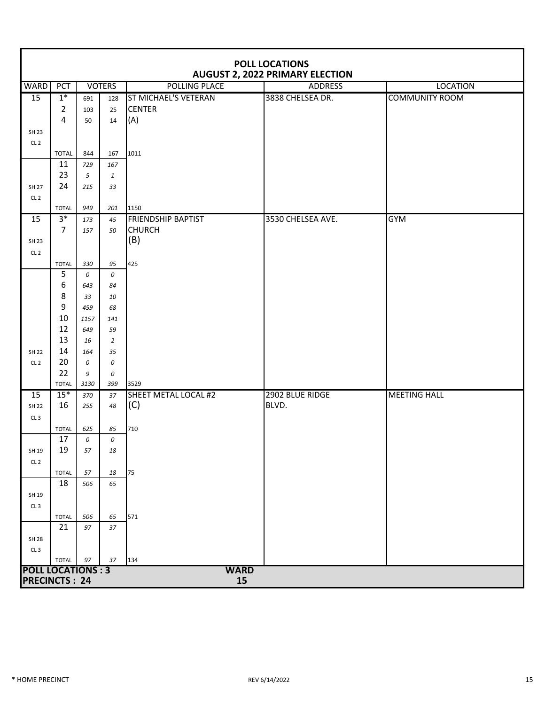|                          | <b>POLL LOCATIONS</b><br><b>AUGUST 2, 2022 PRIMARY ELECTION</b> |           |                |                           |                   |                       |  |  |  |  |
|--------------------------|-----------------------------------------------------------------|-----------|----------------|---------------------------|-------------------|-----------------------|--|--|--|--|
| <b>WARD</b>              | <b>PCT</b>                                                      |           | <b>VOTERS</b>  | POLLING PLACE             | <b>ADDRESS</b>    | <b>LOCATION</b>       |  |  |  |  |
| 15                       | $1*$                                                            | 691       | 128            | ST MICHAEL'S VETERAN      | 3838 CHELSEA DR.  | <b>COMMUNITY ROOM</b> |  |  |  |  |
|                          | $\overline{2}$                                                  | 103       | 25             | <b>CENTER</b>             |                   |                       |  |  |  |  |
|                          | $\overline{4}$                                                  | 50        | 14             | (A)                       |                   |                       |  |  |  |  |
| SH 23                    |                                                                 |           |                |                           |                   |                       |  |  |  |  |
| CL <sub>2</sub>          |                                                                 |           |                |                           |                   |                       |  |  |  |  |
|                          | <b>TOTAL</b>                                                    | 844       | 167            | 1011                      |                   |                       |  |  |  |  |
|                          | 11                                                              | 729       | 167            |                           |                   |                       |  |  |  |  |
|                          | 23                                                              | 5         | $\mathbf{1}$   |                           |                   |                       |  |  |  |  |
| <b>SH 27</b>             | 24                                                              | 215       | 33             |                           |                   |                       |  |  |  |  |
| CL <sub>2</sub>          |                                                                 |           |                |                           |                   |                       |  |  |  |  |
|                          | <b>TOTAL</b>                                                    | 949       | 201            | 1150                      |                   |                       |  |  |  |  |
| 15                       | $3*$                                                            | 173       | 45             | <b>FRIENDSHIP BAPTIST</b> | 3530 CHELSEA AVE. | <b>GYM</b>            |  |  |  |  |
|                          | $\overline{7}$                                                  | 157       | 50             | <b>CHURCH</b>             |                   |                       |  |  |  |  |
| SH 23                    |                                                                 |           |                | (B)                       |                   |                       |  |  |  |  |
| CL <sub>2</sub>          |                                                                 |           |                |                           |                   |                       |  |  |  |  |
|                          | <b>TOTAL</b>                                                    | 330       | 95             | 425                       |                   |                       |  |  |  |  |
|                          | 5<br>6                                                          | 0         | 0              |                           |                   |                       |  |  |  |  |
|                          | 8                                                               | 643<br>33 | 84<br>10       |                           |                   |                       |  |  |  |  |
|                          | 9                                                               | 459       | 68             |                           |                   |                       |  |  |  |  |
|                          | 10                                                              | 1157      | 141            |                           |                   |                       |  |  |  |  |
|                          | 12                                                              | 649       | 59             |                           |                   |                       |  |  |  |  |
|                          | 13                                                              | 16        | $\overline{2}$ |                           |                   |                       |  |  |  |  |
| <b>SH 22</b>             | 14                                                              | 164       | 35             |                           |                   |                       |  |  |  |  |
| CL <sub>2</sub>          | 20                                                              | 0         | 0              |                           |                   |                       |  |  |  |  |
|                          | 22                                                              | 9         | 0              |                           |                   |                       |  |  |  |  |
|                          | <b>TOTAL</b>                                                    | 3130      | 399            | 3529                      |                   |                       |  |  |  |  |
| 15                       | $15*$                                                           | 370       | 37             | SHEET METAL LOCAL #2      | 2902 BLUE RIDGE   | <b>MEETING HALL</b>   |  |  |  |  |
| SH 22                    | 16                                                              | 255       | 48             | (C)                       | BLVD.             |                       |  |  |  |  |
| CL3                      |                                                                 |           |                |                           |                   |                       |  |  |  |  |
|                          | <b>TOTAL</b>                                                    | 625       | 85             | 710                       |                   |                       |  |  |  |  |
|                          | 17                                                              | 0         | 0              |                           |                   |                       |  |  |  |  |
| SH 19                    | 19                                                              | 57        | $18\,$         |                           |                   |                       |  |  |  |  |
| CL <sub>2</sub>          |                                                                 |           |                |                           |                   |                       |  |  |  |  |
|                          | <b>TOTAL</b>                                                    | 57        | 18             | 75                        |                   |                       |  |  |  |  |
|                          | 18                                                              | 506       | 65             |                           |                   |                       |  |  |  |  |
| SH 19                    |                                                                 |           |                |                           |                   |                       |  |  |  |  |
| CL3                      |                                                                 |           |                |                           |                   |                       |  |  |  |  |
|                          | <b>TOTAL</b>                                                    | 506       | 65             | 571                       |                   |                       |  |  |  |  |
|                          | 21                                                              | 97        | 37             |                           |                   |                       |  |  |  |  |
| <b>SH 28</b>             |                                                                 |           |                |                           |                   |                       |  |  |  |  |
| CL3                      |                                                                 |           |                |                           |                   |                       |  |  |  |  |
| <b>POLL LOCATIONS: 3</b> | <b>TOTAL</b>                                                    | 97        | 37             | 134<br><b>WARD</b>        |                   |                       |  |  |  |  |
| <b>PRECINCTS: 24</b>     |                                                                 |           |                | 15                        |                   |                       |  |  |  |  |
|                          |                                                                 |           |                |                           |                   |                       |  |  |  |  |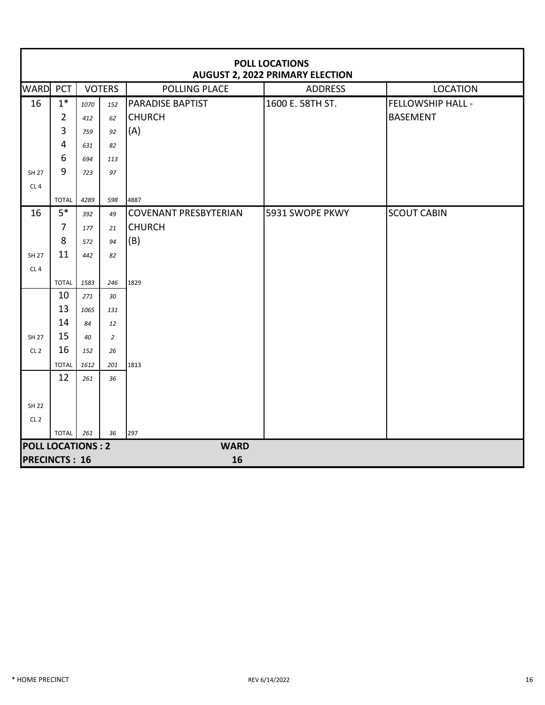|                          | <b>POLL LOCATIONS</b><br><b>AUGUST 2, 2022 PRIMARY ELECTION</b> |               |                |                              |                  |                          |  |  |  |  |  |
|--------------------------|-----------------------------------------------------------------|---------------|----------------|------------------------------|------------------|--------------------------|--|--|--|--|--|
| <b>WARD PCT</b>          |                                                                 | <b>VOTERS</b> |                | <b>POLLING PLACE</b>         | <b>ADDRESS</b>   | <b>LOCATION</b>          |  |  |  |  |  |
| 16                       | $1*$                                                            | 1070          | 152            | <b>PARADISE BAPTIST</b>      | 1600 E. 58TH ST. | <b>FELLOWSHIP HALL -</b> |  |  |  |  |  |
|                          | $\overline{2}$                                                  | 412           | 62             | <b>CHURCH</b>                |                  | <b>BASEMENT</b>          |  |  |  |  |  |
|                          | 3                                                               | 759           | 92             | (A)                          |                  |                          |  |  |  |  |  |
|                          | 4                                                               | 631           | 82             |                              |                  |                          |  |  |  |  |  |
|                          | 6                                                               | 694           | 113            |                              |                  |                          |  |  |  |  |  |
| <b>SH 27</b>             | 9                                                               | 723           | 97             |                              |                  |                          |  |  |  |  |  |
| CL4                      |                                                                 |               |                |                              |                  |                          |  |  |  |  |  |
|                          | <b>TOTAL</b>                                                    | 4289          | 598            | 4887                         |                  |                          |  |  |  |  |  |
| 16                       | $5*$                                                            | 392           | 49             | <b>COVENANT PRESBYTERIAN</b> | 5931 SWOPE PKWY  | <b>SCOUT CABIN</b>       |  |  |  |  |  |
|                          | $\overline{7}$                                                  | 177           | 21             | <b>CHURCH</b>                |                  |                          |  |  |  |  |  |
|                          | 8                                                               | 572           | 94             | (B)                          |                  |                          |  |  |  |  |  |
| <b>SH 27</b>             | 11                                                              | 442           | 82             |                              |                  |                          |  |  |  |  |  |
| CL4                      |                                                                 |               |                |                              |                  |                          |  |  |  |  |  |
|                          | <b>TOTAL</b>                                                    | 1583          | 246            | 1829                         |                  |                          |  |  |  |  |  |
|                          | 10                                                              | 271           | 30             |                              |                  |                          |  |  |  |  |  |
|                          | 13                                                              | 1065          | 131            |                              |                  |                          |  |  |  |  |  |
|                          | 14                                                              | 84            | 12             |                              |                  |                          |  |  |  |  |  |
| <b>SH 27</b>             | 15                                                              | 40            | $\overline{2}$ |                              |                  |                          |  |  |  |  |  |
| CL <sub>2</sub>          | 16                                                              | 152           | 26             |                              |                  |                          |  |  |  |  |  |
|                          | <b>TOTAL</b><br>12                                              | 1612          | 201            | 1813                         |                  |                          |  |  |  |  |  |
|                          |                                                                 | 261           | 36             |                              |                  |                          |  |  |  |  |  |
|                          |                                                                 |               |                |                              |                  |                          |  |  |  |  |  |
| <b>SH 22</b>             |                                                                 |               |                |                              |                  |                          |  |  |  |  |  |
| CL <sub>2</sub>          | <b>TOTAL</b>                                                    | 261           | 36             | 297                          |                  |                          |  |  |  |  |  |
| <b>POLL LOCATIONS: 2</b> |                                                                 |               |                | <b>WARD</b>                  |                  |                          |  |  |  |  |  |
| <b>PRECINCTS: 16</b>     |                                                                 |               |                | 16                           |                  |                          |  |  |  |  |  |
|                          |                                                                 |               |                |                              |                  |                          |  |  |  |  |  |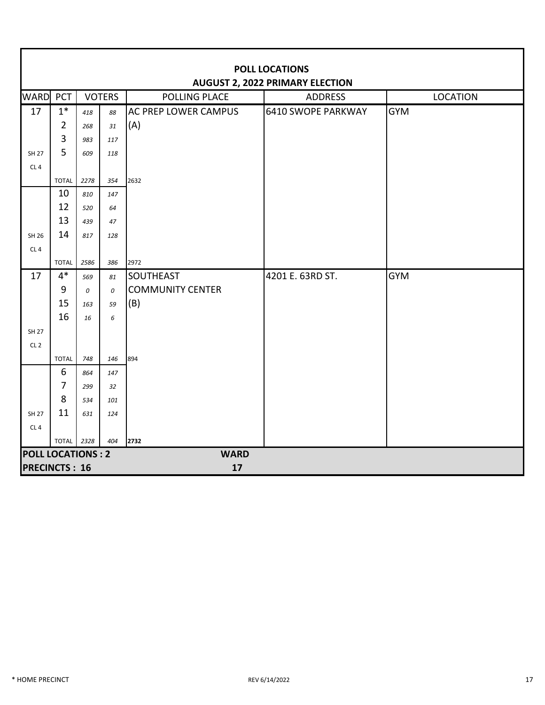|                          | <b>POLL LOCATIONS</b><br><b>AUGUST 2, 2022 PRIMARY ELECTION</b> |           |               |                                |                    |                 |  |  |  |  |
|--------------------------|-----------------------------------------------------------------|-----------|---------------|--------------------------------|--------------------|-----------------|--|--|--|--|
| WARD PCT                 |                                                                 |           | <b>VOTERS</b> | POLLING PLACE                  | <b>ADDRESS</b>     | <b>LOCATION</b> |  |  |  |  |
| 17                       | $1*$                                                            | 418       | 88            | <b>AC PREP LOWER CAMPUS</b>    | 6410 SWOPE PARKWAY | <b>GYM</b>      |  |  |  |  |
|                          | $\overline{2}$                                                  | 268       | 31            | (A)                            |                    |                 |  |  |  |  |
|                          | 3                                                               | 983       | 117           |                                |                    |                 |  |  |  |  |
| <b>SH 27</b>             | 5                                                               | 609       | 118           |                                |                    |                 |  |  |  |  |
| CL <sub>4</sub>          |                                                                 |           |               |                                |                    |                 |  |  |  |  |
|                          | <b>TOTAL</b>                                                    | 2278      | 354           | 2632                           |                    |                 |  |  |  |  |
|                          | 10                                                              | 810       | 147           |                                |                    |                 |  |  |  |  |
|                          | 12                                                              | 520       | 64            |                                |                    |                 |  |  |  |  |
|                          | 13                                                              | 439       | 47            |                                |                    |                 |  |  |  |  |
| SH 26                    | 14                                                              | 817       | 128           |                                |                    |                 |  |  |  |  |
| CL4                      |                                                                 |           |               |                                |                    |                 |  |  |  |  |
|                          | <b>TOTAL</b><br>$4*$                                            | 2586      | 386           | 2972                           |                    |                 |  |  |  |  |
| 17                       |                                                                 | 569       | 81            | <b>SOUTHEAST</b>               | 4201 E. 63RD ST.   | <b>GYM</b>      |  |  |  |  |
|                          | 9<br>15                                                         | 0         | 0             | <b>COMMUNITY CENTER</b><br>(B) |                    |                 |  |  |  |  |
|                          | 16                                                              | 163<br>16 | 59<br>6       |                                |                    |                 |  |  |  |  |
| <b>SH 27</b>             |                                                                 |           |               |                                |                    |                 |  |  |  |  |
| CL <sub>2</sub>          |                                                                 |           |               |                                |                    |                 |  |  |  |  |
|                          | <b>TOTAL</b>                                                    | 748       | 146           | 894                            |                    |                 |  |  |  |  |
|                          | 6                                                               | 864       | 147           |                                |                    |                 |  |  |  |  |
|                          | $\overline{7}$                                                  | 299       | 32            |                                |                    |                 |  |  |  |  |
|                          | 8                                                               | 534       | 101           |                                |                    |                 |  |  |  |  |
| <b>SH 27</b>             | 11                                                              | 631       | 124           |                                |                    |                 |  |  |  |  |
| CL <sub>4</sub>          |                                                                 |           |               |                                |                    |                 |  |  |  |  |
|                          | <b>TOTAL</b>                                                    | 2328      | 404           | 2732                           |                    |                 |  |  |  |  |
| <b>POLL LOCATIONS: 2</b> |                                                                 |           |               | <b>WARD</b>                    |                    |                 |  |  |  |  |
| <b>PRECINCTS: 16</b>     |                                                                 |           |               | 17                             |                    |                 |  |  |  |  |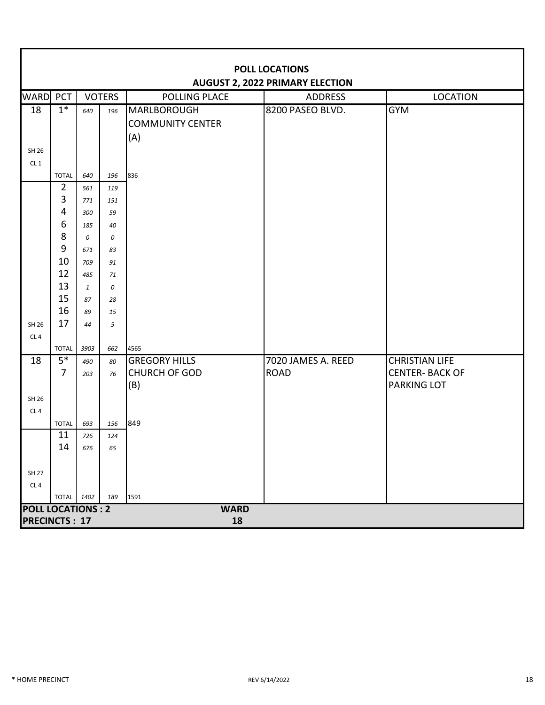|                          | <b>POLL LOCATIONS</b><br><b>AUGUST 2, 2022 PRIMARY ELECTION</b> |              |               |                         |                    |                       |  |  |  |  |
|--------------------------|-----------------------------------------------------------------|--------------|---------------|-------------------------|--------------------|-----------------------|--|--|--|--|
| <b>WARD</b>              | <b>PCT</b>                                                      |              | <b>VOTERS</b> | POLLING PLACE           | <b>ADDRESS</b>     | <b>LOCATION</b>       |  |  |  |  |
| 18                       | $1*$                                                            | 640          | 196           | MARLBOROUGH             | 8200 PASEO BLVD.   | <b>GYM</b>            |  |  |  |  |
|                          |                                                                 |              |               | <b>COMMUNITY CENTER</b> |                    |                       |  |  |  |  |
|                          |                                                                 |              |               | (A)                     |                    |                       |  |  |  |  |
| SH 26                    |                                                                 |              |               |                         |                    |                       |  |  |  |  |
| CL1                      |                                                                 |              |               |                         |                    |                       |  |  |  |  |
|                          | <b>TOTAL</b>                                                    | 640          | 196           | 836                     |                    |                       |  |  |  |  |
|                          | $\overline{2}$                                                  | 561          | 119           |                         |                    |                       |  |  |  |  |
|                          | 3                                                               | 771          | 151           |                         |                    |                       |  |  |  |  |
|                          | 4                                                               | 300          | 59            |                         |                    |                       |  |  |  |  |
|                          | 6                                                               | 185          | 40            |                         |                    |                       |  |  |  |  |
|                          | 8                                                               | 0            | 0             |                         |                    |                       |  |  |  |  |
|                          | $9\,$<br>10                                                     | 671          | 83            |                         |                    |                       |  |  |  |  |
|                          | 12                                                              | 709<br>485   | 91<br>71      |                         |                    |                       |  |  |  |  |
|                          | 13                                                              | $\mathbf{1}$ | 0             |                         |                    |                       |  |  |  |  |
|                          | 15                                                              | 87           | 28            |                         |                    |                       |  |  |  |  |
|                          | 16                                                              | 89           | 15            |                         |                    |                       |  |  |  |  |
| SH 26                    | 17                                                              | 44           | 5             |                         |                    |                       |  |  |  |  |
| CL <sub>4</sub>          |                                                                 |              |               |                         |                    |                       |  |  |  |  |
|                          | <b>TOTAL</b>                                                    | 3903         | 662           | 4565                    |                    |                       |  |  |  |  |
| 18                       | $5*$                                                            | 490          | 80            | <b>GREGORY HILLS</b>    | 7020 JAMES A. REED | <b>CHRISTIAN LIFE</b> |  |  |  |  |
|                          | $\overline{7}$                                                  | 203          | 76            | <b>CHURCH OF GOD</b>    | <b>ROAD</b>        | <b>CENTER-BACK OF</b> |  |  |  |  |
|                          |                                                                 |              |               | (B)                     |                    | <b>PARKING LOT</b>    |  |  |  |  |
| SH 26                    |                                                                 |              |               |                         |                    |                       |  |  |  |  |
| CL <sub>4</sub>          |                                                                 |              |               |                         |                    |                       |  |  |  |  |
|                          | <b>TOTAL</b>                                                    | 693          | 156           | 849                     |                    |                       |  |  |  |  |
|                          | 11                                                              | 726          | 124           |                         |                    |                       |  |  |  |  |
|                          | 14                                                              | 676          | 65            |                         |                    |                       |  |  |  |  |
|                          |                                                                 |              |               |                         |                    |                       |  |  |  |  |
| SH 27<br>CL <sub>4</sub> |                                                                 |              |               |                         |                    |                       |  |  |  |  |
|                          | TOTAL 1402                                                      |              | 189           | 1591                    |                    |                       |  |  |  |  |
| <b>POLL LOCATIONS: 2</b> |                                                                 |              |               | <b>WARD</b>             |                    |                       |  |  |  |  |
| <b>PRECINCTS: 17</b>     |                                                                 |              |               | 18                      |                    |                       |  |  |  |  |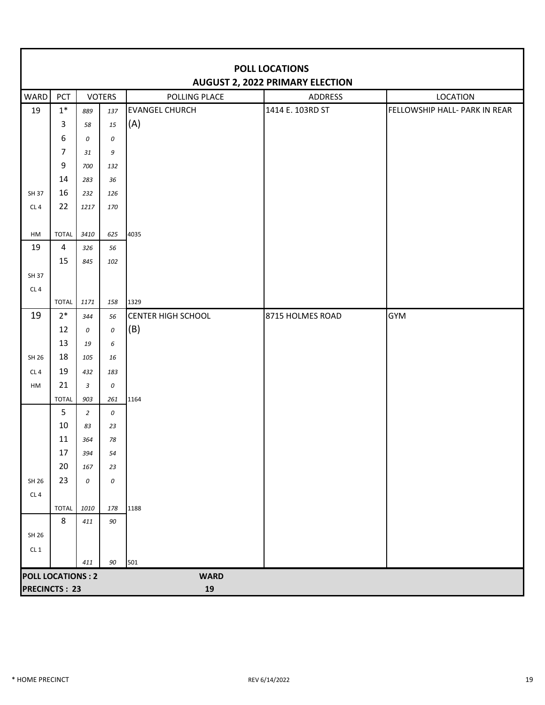|                          | <b>POLL LOCATIONS</b><br><b>AUGUST 2, 2022 PRIMARY ELECTION</b> |                |               |                           |                  |                               |  |  |  |  |
|--------------------------|-----------------------------------------------------------------|----------------|---------------|---------------------------|------------------|-------------------------------|--|--|--|--|
| WARD                     | PCT                                                             |                | <b>VOTERS</b> | POLLING PLACE             | <b>ADDRESS</b>   | <b>LOCATION</b>               |  |  |  |  |
| 19                       | $1^\ast$                                                        | 889            | 137           | <b>EVANGEL CHURCH</b>     | 1414 E. 103RD ST | FELLOWSHIP HALL- PARK IN REAR |  |  |  |  |
|                          | 3                                                               | 58             | 15            | (A)                       |                  |                               |  |  |  |  |
|                          | 6                                                               | 0              | 0             |                           |                  |                               |  |  |  |  |
|                          | $\overline{7}$                                                  | 31             | 9             |                           |                  |                               |  |  |  |  |
|                          | $\mathsf 9$                                                     | 700            | 132           |                           |                  |                               |  |  |  |  |
|                          | 14                                                              | 283            | 36            |                           |                  |                               |  |  |  |  |
| SH 37                    | 16                                                              | 232            | 126           |                           |                  |                               |  |  |  |  |
| CL4                      | 22                                                              | 1217           | 170           |                           |                  |                               |  |  |  |  |
|                          |                                                                 |                |               |                           |                  |                               |  |  |  |  |
| HM                       | <b>TOTAL</b>                                                    | 3410           | 625           | 4035                      |                  |                               |  |  |  |  |
| 19                       | $\overline{4}$                                                  | 326            | 56            |                           |                  |                               |  |  |  |  |
|                          | 15                                                              | 845            | 102           |                           |                  |                               |  |  |  |  |
| SH 37                    |                                                                 |                |               |                           |                  |                               |  |  |  |  |
| CL4                      | <b>TOTAL</b>                                                    | 1171           | 158           | 1329                      |                  |                               |  |  |  |  |
| 19                       | $2*$                                                            | 344            | 56            | <b>CENTER HIGH SCHOOL</b> | 8715 HOLMES ROAD | <b>GYM</b>                    |  |  |  |  |
|                          | 12                                                              | 0              | $\cal O$      | (B)                       |                  |                               |  |  |  |  |
|                          | 13                                                              | 19             | 6             |                           |                  |                               |  |  |  |  |
| SH 26                    | 18                                                              | 105            | 16            |                           |                  |                               |  |  |  |  |
| CL <sub>4</sub>          | 19                                                              | 432            | 183           |                           |                  |                               |  |  |  |  |
| HM                       | 21                                                              | 3              | 0             |                           |                  |                               |  |  |  |  |
|                          | <b>TOTAL</b>                                                    | 903            | 261           | 1164                      |                  |                               |  |  |  |  |
|                          | 5                                                               | $\overline{2}$ | 0             |                           |                  |                               |  |  |  |  |
|                          | 10                                                              | 83             | 23            |                           |                  |                               |  |  |  |  |
|                          | 11                                                              | 364            | 78            |                           |                  |                               |  |  |  |  |
|                          | 17                                                              | 394            | 54            |                           |                  |                               |  |  |  |  |
|                          | 20                                                              | 167            | 23            |                           |                  |                               |  |  |  |  |
| SH 26                    | 23                                                              | 0              | 0             |                           |                  |                               |  |  |  |  |
| CL4                      |                                                                 |                |               |                           |                  |                               |  |  |  |  |
|                          | <b>TOTAL</b>                                                    | 1010           | 178           | 1188                      |                  |                               |  |  |  |  |
|                          | 8                                                               | 411            | 90            |                           |                  |                               |  |  |  |  |
| SH 26                    |                                                                 |                |               |                           |                  |                               |  |  |  |  |
| CL1                      |                                                                 |                |               |                           |                  |                               |  |  |  |  |
|                          |                                                                 | 411            | 90            | 501                       |                  |                               |  |  |  |  |
| <b>POLL LOCATIONS: 2</b> |                                                                 |                |               | <b>WARD</b>               |                  |                               |  |  |  |  |
| <b>PRECINCTS: 23</b>     |                                                                 |                |               | ${\bf 19}$                |                  |                               |  |  |  |  |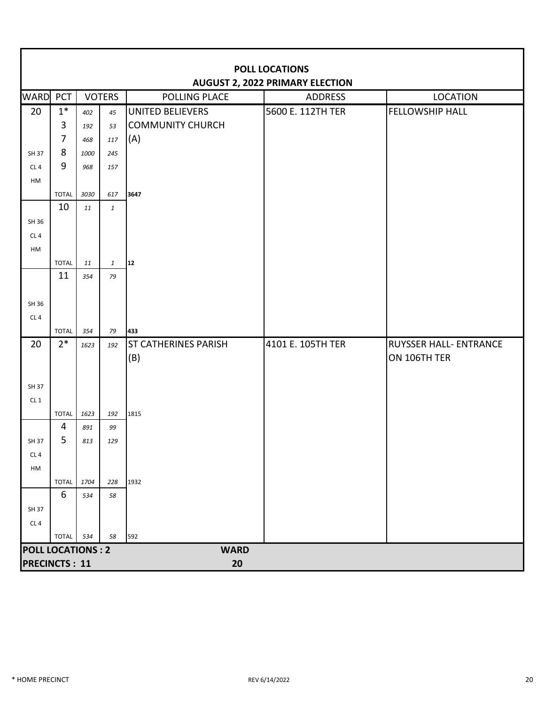|                          | <b>POLL LOCATIONS</b><br><b>AUGUST 2, 2022 PRIMARY ELECTION</b> |      |               |                             |                   |                               |  |  |  |  |
|--------------------------|-----------------------------------------------------------------|------|---------------|-----------------------------|-------------------|-------------------------------|--|--|--|--|
| <b>WARD</b>              | PCT                                                             |      | <b>VOTERS</b> | <b>POLLING PLACE</b>        | <b>ADDRESS</b>    | <b>LOCATION</b>               |  |  |  |  |
| 20                       | $1*$                                                            | 402  | 45            | <b>UNITED BELIEVERS</b>     | 5600 E. 112TH TER | <b>FELLOWSHIP HALL</b>        |  |  |  |  |
|                          | $\mathbf{3}$                                                    | 192  | 53            | <b>COMMUNITY CHURCH</b>     |                   |                               |  |  |  |  |
|                          | $\overline{7}$                                                  | 468  | 117           | (A)                         |                   |                               |  |  |  |  |
| SH 37                    | 8                                                               | 1000 | 245           |                             |                   |                               |  |  |  |  |
| CL <sub>4</sub>          | 9                                                               | 968  | 157           |                             |                   |                               |  |  |  |  |
| HM                       |                                                                 |      |               |                             |                   |                               |  |  |  |  |
|                          | <b>TOTAL</b>                                                    | 3030 | 617           | 3647                        |                   |                               |  |  |  |  |
|                          | 10                                                              | 11   | $\mathbf{1}$  |                             |                   |                               |  |  |  |  |
| SH 36                    |                                                                 |      |               |                             |                   |                               |  |  |  |  |
| CL <sub>4</sub>          |                                                                 |      |               |                             |                   |                               |  |  |  |  |
| HM                       |                                                                 |      |               |                             |                   |                               |  |  |  |  |
|                          | <b>TOTAL</b><br>11                                              | 11   | $\mathbf{1}$  | 12                          |                   |                               |  |  |  |  |
|                          |                                                                 | 354  | 79            |                             |                   |                               |  |  |  |  |
| SH 36                    |                                                                 |      |               |                             |                   |                               |  |  |  |  |
| CL <sub>4</sub>          |                                                                 |      |               |                             |                   |                               |  |  |  |  |
|                          | <b>TOTAL</b>                                                    | 354  | 79            | 433                         |                   |                               |  |  |  |  |
| 20                       | $2*$                                                            | 1623 | 192           | <b>ST CATHERINES PARISH</b> | 4101 E. 105TH TER | <b>RUYSSER HALL- ENTRANCE</b> |  |  |  |  |
|                          |                                                                 |      |               | (B)                         |                   | ON 106TH TER                  |  |  |  |  |
|                          |                                                                 |      |               |                             |                   |                               |  |  |  |  |
| SH 37                    |                                                                 |      |               |                             |                   |                               |  |  |  |  |
| CL1                      |                                                                 |      |               |                             |                   |                               |  |  |  |  |
|                          | <b>TOTAL</b>                                                    | 1623 | 192           | 1815                        |                   |                               |  |  |  |  |
|                          | 4                                                               | 891  | 99            |                             |                   |                               |  |  |  |  |
| SH 37                    | 5                                                               | 813  | 129           |                             |                   |                               |  |  |  |  |
| CL4                      |                                                                 |      |               |                             |                   |                               |  |  |  |  |
| HM                       |                                                                 |      |               |                             |                   |                               |  |  |  |  |
|                          | <b>TOTAL</b>                                                    | 1704 | 228           | 1932                        |                   |                               |  |  |  |  |
|                          | 6                                                               | 534  | 58            |                             |                   |                               |  |  |  |  |
| SH 37                    |                                                                 |      |               |                             |                   |                               |  |  |  |  |
| CL <sub>4</sub>          |                                                                 |      |               |                             |                   |                               |  |  |  |  |
|                          | <b>TOTAL</b>                                                    | 534  | 58            | 592                         |                   |                               |  |  |  |  |
| <b>POLL LOCATIONS: 2</b> |                                                                 |      |               | <b>WARD</b>                 |                   |                               |  |  |  |  |
| <b>PRECINCTS: 11</b>     |                                                                 |      |               | 20                          |                   |                               |  |  |  |  |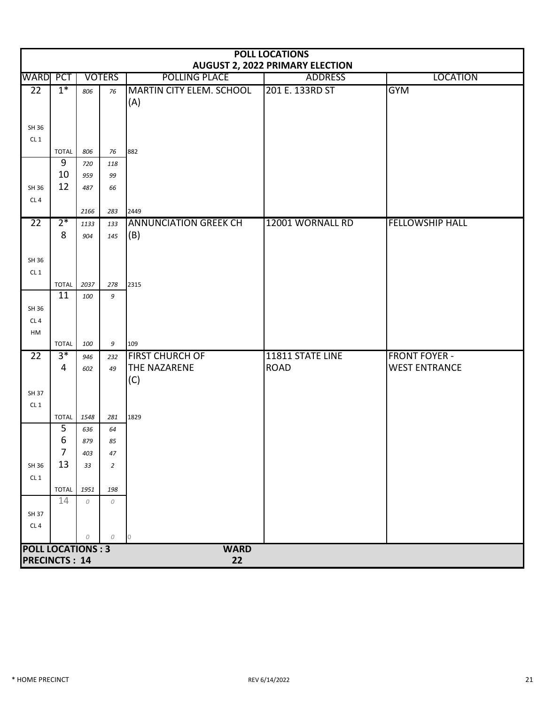|                                                  | <b>POLL LOCATIONS</b><br><b>AUGUST 2, 2022 PRIMARY ELECTION</b> |             |                |                                        |                  |                        |  |  |  |  |
|--------------------------------------------------|-----------------------------------------------------------------|-------------|----------------|----------------------------------------|------------------|------------------------|--|--|--|--|
| WARD                                             | <b>PCT</b>                                                      |             | <b>VOTERS</b>  | <b>POLLING PLACE</b>                   | <b>ADDRESS</b>   | <b>LOCATION</b>        |  |  |  |  |
| $\overline{22}$                                  | $1*$                                                            | 806         | 76             | <b>MARTIN CITY ELEM. SCHOOL</b><br>(A) | 201 E. 133RD ST  | <b>GYM</b>             |  |  |  |  |
| SH 36                                            |                                                                 |             |                |                                        |                  |                        |  |  |  |  |
| CL1                                              |                                                                 |             |                |                                        |                  |                        |  |  |  |  |
|                                                  | <b>TOTAL</b>                                                    | 806         | 76             | 882                                    |                  |                        |  |  |  |  |
|                                                  | 9                                                               | 720         | 118            |                                        |                  |                        |  |  |  |  |
|                                                  | 10                                                              | 959         | 99             |                                        |                  |                        |  |  |  |  |
| SH 36                                            | 12                                                              | 487         | 66             |                                        |                  |                        |  |  |  |  |
| CL4                                              |                                                                 |             |                |                                        |                  |                        |  |  |  |  |
|                                                  |                                                                 | 2166        | 283            | 2449                                   |                  |                        |  |  |  |  |
| $\overline{22}$                                  | $2*$                                                            | 1133        | 133            | <b>ANNUNCIATION GREEK CH</b>           | 12001 WORNALL RD | <b>FELLOWSHIP HALL</b> |  |  |  |  |
|                                                  | 8                                                               | 904         | 145            | (B)                                    |                  |                        |  |  |  |  |
| SH 36                                            |                                                                 |             |                |                                        |                  |                        |  |  |  |  |
| CL1                                              |                                                                 |             |                |                                        |                  |                        |  |  |  |  |
|                                                  | <b>TOTAL</b>                                                    | 2037        | 278            | 2315                                   |                  |                        |  |  |  |  |
|                                                  | 11                                                              | 100         | 9              |                                        |                  |                        |  |  |  |  |
| SH 36                                            |                                                                 |             |                |                                        |                  |                        |  |  |  |  |
| CL4                                              |                                                                 |             |                |                                        |                  |                        |  |  |  |  |
| HM                                               |                                                                 |             |                |                                        |                  |                        |  |  |  |  |
|                                                  | <b>TOTAL</b>                                                    | 100         | 9              | 109                                    |                  |                        |  |  |  |  |
| 22                                               | $3*$                                                            | 946         | 232            | <b>FIRST CHURCH OF</b>                 | 11811 STATE LINE | <b>FRONT FOYER -</b>   |  |  |  |  |
|                                                  | 4                                                               | 602         | 49             | <b>THE NAZARENE</b>                    | <b>ROAD</b>      | <b>WEST ENTRANCE</b>   |  |  |  |  |
|                                                  |                                                                 |             |                | (C)                                    |                  |                        |  |  |  |  |
| SH 37                                            |                                                                 |             |                |                                        |                  |                        |  |  |  |  |
| CL1                                              |                                                                 |             |                |                                        |                  |                        |  |  |  |  |
|                                                  | <b>TOTAL</b><br>$\overline{5}$                                  | 1548<br>636 | 281<br>64      | 1829                                   |                  |                        |  |  |  |  |
|                                                  | 6                                                               | 879         | 85             |                                        |                  |                        |  |  |  |  |
|                                                  | 7                                                               | 403         | 47             |                                        |                  |                        |  |  |  |  |
| SH 36                                            | 13                                                              | 33          | $\overline{2}$ |                                        |                  |                        |  |  |  |  |
| CL1                                              |                                                                 |             |                |                                        |                  |                        |  |  |  |  |
|                                                  | <b>TOTAL</b>                                                    | 1951        | 198            |                                        |                  |                        |  |  |  |  |
|                                                  | 14                                                              | 0           | 0              |                                        |                  |                        |  |  |  |  |
| SH 37                                            |                                                                 |             |                |                                        |                  |                        |  |  |  |  |
| CL4                                              |                                                                 |             |                |                                        |                  |                        |  |  |  |  |
|                                                  |                                                                 | 0           | 0              | $\overline{0}$                         |                  |                        |  |  |  |  |
| <b>POLL LOCATIONS: 3</b><br><b>PRECINCTS: 14</b> |                                                                 |             |                | <b>WARD</b><br>22                      |                  |                        |  |  |  |  |
|                                                  |                                                                 |             |                |                                        |                  |                        |  |  |  |  |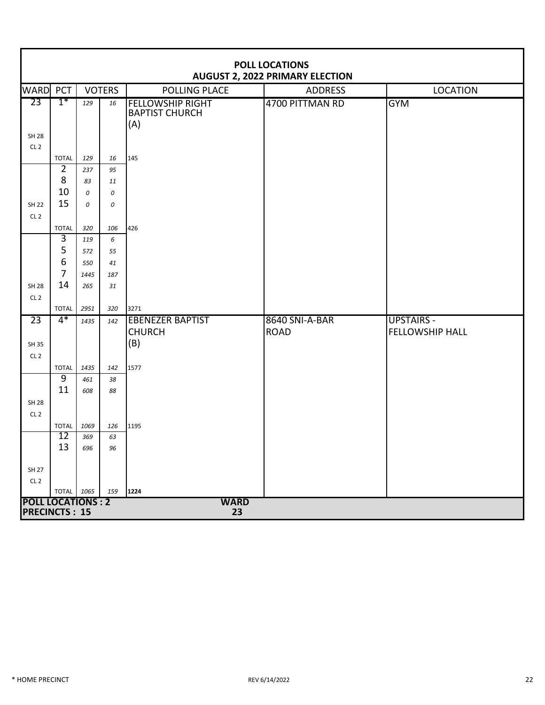|                                 | <b>POLL LOCATIONS</b><br><b>AUGUST 2, 2022 PRIMARY ELECTION</b> |             |               |                                                         |                 |                        |  |  |  |  |
|---------------------------------|-----------------------------------------------------------------|-------------|---------------|---------------------------------------------------------|-----------------|------------------------|--|--|--|--|
| <b>WARD PCT</b>                 |                                                                 |             | <b>VOTERS</b> | POLLING PLACE                                           | <b>ADDRESS</b>  | <b>LOCATION</b>        |  |  |  |  |
| 23                              | $1*$                                                            | 129         | 16            | <b>FELLOWSHIP RIGHT</b><br><b>BAPTIST CHURCH</b><br>(A) | 4700 PITTMAN RD | <b>GYM</b>             |  |  |  |  |
| <b>SH 28</b><br>CL <sub>2</sub> |                                                                 |             |               |                                                         |                 |                        |  |  |  |  |
|                                 | <b>TOTAL</b>                                                    | 129         | 16            | 145                                                     |                 |                        |  |  |  |  |
|                                 | $\overline{2}$                                                  | 237         | 95            |                                                         |                 |                        |  |  |  |  |
|                                 | 8                                                               | 83          | 11            |                                                         |                 |                        |  |  |  |  |
|                                 | 10                                                              | 0           | 0             |                                                         |                 |                        |  |  |  |  |
| <b>SH 22</b>                    | 15                                                              | 0           | 0             |                                                         |                 |                        |  |  |  |  |
| CL <sub>2</sub>                 |                                                                 |             |               |                                                         |                 |                        |  |  |  |  |
|                                 | <b>TOTAL</b>                                                    | 320         | 106           | 426                                                     |                 |                        |  |  |  |  |
|                                 | 3                                                               | 119         | 6             |                                                         |                 |                        |  |  |  |  |
|                                 | 5                                                               | 572         | 55            |                                                         |                 |                        |  |  |  |  |
|                                 | $\boldsymbol{6}$                                                | 550         | 41            |                                                         |                 |                        |  |  |  |  |
|                                 | $\overline{7}$                                                  | 1445        | 187           |                                                         |                 |                        |  |  |  |  |
| <b>SH 28</b>                    | 14                                                              | 265         | 31            |                                                         |                 |                        |  |  |  |  |
| CL <sub>2</sub>                 |                                                                 |             |               |                                                         |                 |                        |  |  |  |  |
|                                 | <b>TOTAL</b>                                                    | 2951        | 320           | 3271                                                    |                 |                        |  |  |  |  |
| $\overline{23}$                 | $4*$                                                            | 1435        | 142           | <b>EBENEZER BAPTIST</b>                                 | 8640 SNI-A-BAR  | <b>UPSTAIRS -</b>      |  |  |  |  |
|                                 |                                                                 |             |               | <b>CHURCH</b>                                           | <b>ROAD</b>     | <b>FELLOWSHIP HALL</b> |  |  |  |  |
| SH 35                           |                                                                 |             |               | (B)                                                     |                 |                        |  |  |  |  |
| CL <sub>2</sub>                 |                                                                 |             |               |                                                         |                 |                        |  |  |  |  |
|                                 | <b>TOTAL</b>                                                    | 1435        | 142           | 1577                                                    |                 |                        |  |  |  |  |
|                                 | $\overline{9}$<br>11                                            | 461         | 38            |                                                         |                 |                        |  |  |  |  |
|                                 |                                                                 | 608         | 88            |                                                         |                 |                        |  |  |  |  |
| <b>SH 28</b>                    |                                                                 |             |               |                                                         |                 |                        |  |  |  |  |
| CL <sub>2</sub>                 |                                                                 |             |               |                                                         |                 |                        |  |  |  |  |
|                                 | <b>TOTAL</b><br>12                                              | 1069<br>369 | 126<br>63     | 1195                                                    |                 |                        |  |  |  |  |
|                                 | 13                                                              | 696         | 96            |                                                         |                 |                        |  |  |  |  |
|                                 |                                                                 |             |               |                                                         |                 |                        |  |  |  |  |
| SH 27                           |                                                                 |             |               |                                                         |                 |                        |  |  |  |  |
| CL2                             |                                                                 |             |               |                                                         |                 |                        |  |  |  |  |
|                                 | TOTAL 1065                                                      |             | 159           | 1224                                                    |                 |                        |  |  |  |  |
| <b>POLL LOCATIONS: 2</b>        |                                                                 |             |               | <b>WARD</b>                                             |                 |                        |  |  |  |  |
| <b>PRECINCTS: 15</b>            |                                                                 |             |               | 23                                                      |                 |                        |  |  |  |  |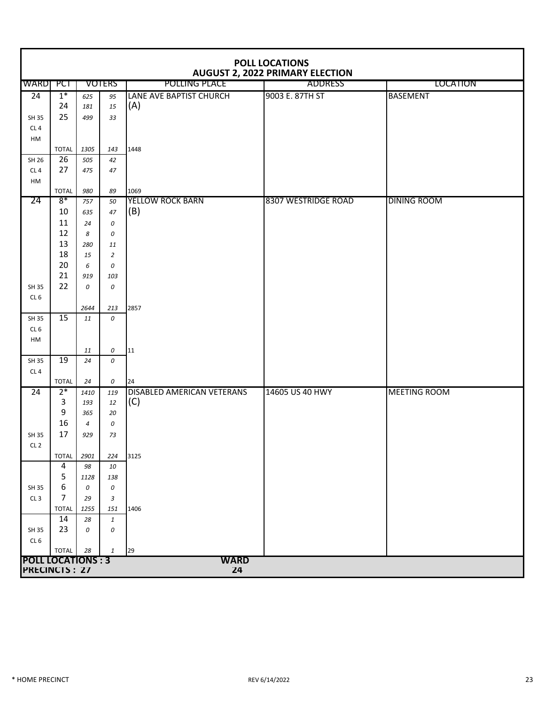|                          | <b>POLL LOCATIONS</b><br><b>AUGUST 2, 2022 PRIMARY ELECTION</b> |                       |                      |                                 |                     |                     |  |  |  |  |  |
|--------------------------|-----------------------------------------------------------------|-----------------------|----------------------|---------------------------------|---------------------|---------------------|--|--|--|--|--|
| <b>WARD</b>              | PCT                                                             |                       | <b>VOTERS</b>        | POLLING PLACE                   | <b>ADDRESS</b>      | <b>LOCATION</b>     |  |  |  |  |  |
| $\overline{24}$          | $1^*$                                                           | 625                   | 95                   | LANE AVE BAPTIST CHURCH         | 9003 E. 87TH ST     | <b>BASEMENT</b>     |  |  |  |  |  |
|                          | 24                                                              | 181                   | 15                   | (A)                             |                     |                     |  |  |  |  |  |
| SH 35                    | 25                                                              | 499                   | 33                   |                                 |                     |                     |  |  |  |  |  |
| CL <sub>4</sub>          |                                                                 |                       |                      |                                 |                     |                     |  |  |  |  |  |
| HM                       |                                                                 |                       |                      |                                 |                     |                     |  |  |  |  |  |
|                          | <b>TOTAL</b>                                                    | 1305                  | 143                  | 1448                            |                     |                     |  |  |  |  |  |
| SH 26                    | $\overline{26}$                                                 | 505                   | 42                   |                                 |                     |                     |  |  |  |  |  |
| CL <sub>4</sub>          | 27                                                              | 475                   | 47                   |                                 |                     |                     |  |  |  |  |  |
| HM                       |                                                                 |                       |                      |                                 |                     |                     |  |  |  |  |  |
| 24                       | <b>TOTAL</b><br>$8*$                                            | 980                   | 89                   | 1069<br><b>YELLOW ROCK BARN</b> | 8307 WESTRIDGE ROAD | <b>DINING ROOM</b>  |  |  |  |  |  |
|                          | 10                                                              | 757                   | 50                   | (B)                             |                     |                     |  |  |  |  |  |
|                          | 11                                                              | 635                   | 47                   |                                 |                     |                     |  |  |  |  |  |
|                          | 12                                                              | 24                    | 0                    |                                 |                     |                     |  |  |  |  |  |
|                          | 13                                                              | 8<br>280              | 0                    |                                 |                     |                     |  |  |  |  |  |
|                          | 18                                                              | 15                    | 11<br>$\overline{2}$ |                                 |                     |                     |  |  |  |  |  |
|                          | 20                                                              | 6                     | 0                    |                                 |                     |                     |  |  |  |  |  |
|                          | 21                                                              | 919                   | 103                  |                                 |                     |                     |  |  |  |  |  |
| SH 35                    | 22                                                              | 0                     | 0                    |                                 |                     |                     |  |  |  |  |  |
| CL <sub>6</sub>          |                                                                 |                       |                      |                                 |                     |                     |  |  |  |  |  |
|                          |                                                                 | 2644                  | 213                  | 2857                            |                     |                     |  |  |  |  |  |
| SH 35                    | 15                                                              | 11                    | 0                    |                                 |                     |                     |  |  |  |  |  |
| CL <sub>6</sub>          |                                                                 |                       |                      |                                 |                     |                     |  |  |  |  |  |
| HM                       |                                                                 |                       |                      |                                 |                     |                     |  |  |  |  |  |
|                          |                                                                 | 11                    | 0                    | 11                              |                     |                     |  |  |  |  |  |
| SH 35                    | 19                                                              | 24                    | 0                    |                                 |                     |                     |  |  |  |  |  |
| CL4                      |                                                                 |                       |                      |                                 |                     |                     |  |  |  |  |  |
|                          | <b>TOTAL</b>                                                    | 24                    | 0                    | 24                              |                     |                     |  |  |  |  |  |
| 24                       | $2*$                                                            | 1410                  | 119                  | DISABLED AMERICAN VETERANS      | 14605 US 40 HWY     | <b>MEETING ROOM</b> |  |  |  |  |  |
|                          | 3<br>9                                                          | 193                   | 12                   | (C)                             |                     |                     |  |  |  |  |  |
|                          | 16                                                              | 365<br>$\overline{4}$ | 20<br>0              |                                 |                     |                     |  |  |  |  |  |
| SH 35                    | 17                                                              | 929                   | 73                   |                                 |                     |                     |  |  |  |  |  |
| CL <sub>2</sub>          |                                                                 |                       |                      |                                 |                     |                     |  |  |  |  |  |
|                          | <b>TOTAL</b>                                                    | 2901                  | 224                  | 3125                            |                     |                     |  |  |  |  |  |
|                          | 4                                                               | 98                    | 10                   |                                 |                     |                     |  |  |  |  |  |
|                          | 5                                                               | 1128                  | 138                  |                                 |                     |                     |  |  |  |  |  |
| SH 35                    | 6                                                               | 0                     | 0                    |                                 |                     |                     |  |  |  |  |  |
| CL <sub>3</sub>          | 7                                                               | 29                    | 3                    |                                 |                     |                     |  |  |  |  |  |
|                          | <b>TOTAL</b>                                                    | 1255                  | 151                  | 1406                            |                     |                     |  |  |  |  |  |
|                          | 14                                                              | 28                    | $\mathbf{1}$         |                                 |                     |                     |  |  |  |  |  |
| SH 35                    | 23                                                              | 0                     | 0                    |                                 |                     |                     |  |  |  |  |  |
| CL <sub>6</sub>          |                                                                 |                       |                      |                                 |                     |                     |  |  |  |  |  |
|                          | <b>TOTAL</b>                                                    | 28                    | 1                    | 29                              |                     |                     |  |  |  |  |  |
| <b>POLL LOCATIONS: 3</b> |                                                                 |                       |                      | <b>WARD</b>                     |                     |                     |  |  |  |  |  |
| <b>PRECINCTS: 27</b>     |                                                                 |                       |                      | 24                              |                     |                     |  |  |  |  |  |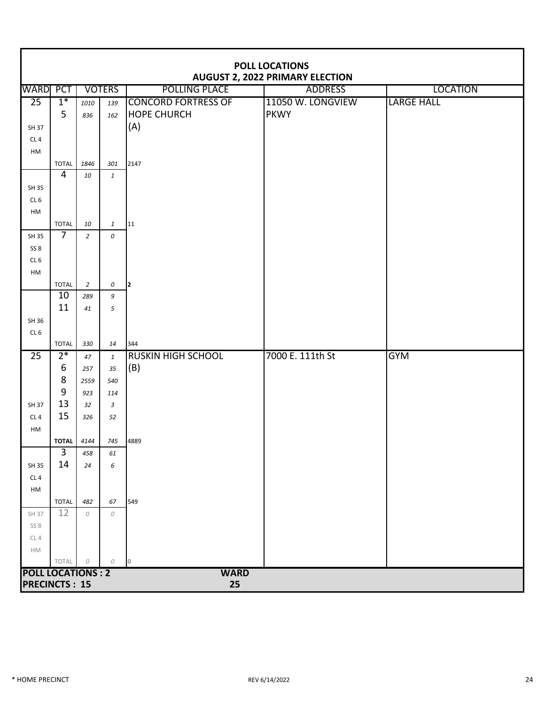|                                    | POLL LOCATIONS<br><b>AUGUST 2, 2022 PRIMARY ELECTION</b> |                |               |                            |                   |                   |  |  |  |  |  |  |  |
|------------------------------------|----------------------------------------------------------|----------------|---------------|----------------------------|-------------------|-------------------|--|--|--|--|--|--|--|
| <b>WARD PCT</b>                    |                                                          |                | <b>VOTERS</b> | <b>POLLING PLACE</b>       | <b>ADDRESS</b>    | <b>LOCATION</b>   |  |  |  |  |  |  |  |
| $\overline{25}$                    | $1*$                                                     | 1010           | 139           | <b>CONCORD FORTRESS OF</b> | 11050 W. LONGVIEW | <b>LARGE HALL</b> |  |  |  |  |  |  |  |
|                                    | 5                                                        | 836            | 162           | <b>HOPE CHURCH</b>         | <b>PKWY</b>       |                   |  |  |  |  |  |  |  |
| SH 37                              |                                                          |                |               | (A)                        |                   |                   |  |  |  |  |  |  |  |
| CL <sub>4</sub>                    |                                                          |                |               |                            |                   |                   |  |  |  |  |  |  |  |
| HM                                 |                                                          |                |               |                            |                   |                   |  |  |  |  |  |  |  |
|                                    | <b>TOTAL</b>                                             | 1846           | 301           | 2147                       |                   |                   |  |  |  |  |  |  |  |
|                                    | $\overline{4}$                                           | 10             | $\mathbf{1}$  |                            |                   |                   |  |  |  |  |  |  |  |
| SH 35                              |                                                          |                |               |                            |                   |                   |  |  |  |  |  |  |  |
| CL <sub>6</sub>                    |                                                          |                |               |                            |                   |                   |  |  |  |  |  |  |  |
| HM                                 |                                                          |                |               |                            |                   |                   |  |  |  |  |  |  |  |
|                                    | <b>TOTAL</b><br>$\overline{7}$                           | 10             | $\mathbf{1}$  | 11                         |                   |                   |  |  |  |  |  |  |  |
| SH 35                              |                                                          | $\overline{2}$ | 0             |                            |                   |                   |  |  |  |  |  |  |  |
| SS <sub>8</sub><br>CL <sub>6</sub> |                                                          |                |               |                            |                   |                   |  |  |  |  |  |  |  |
| HM                                 |                                                          |                |               |                            |                   |                   |  |  |  |  |  |  |  |
|                                    | <b>TOTAL</b>                                             | 2              | 0             | I2                         |                   |                   |  |  |  |  |  |  |  |
|                                    | 10                                                       | 289            | 9             |                            |                   |                   |  |  |  |  |  |  |  |
|                                    | 11                                                       | 41             | 5             |                            |                   |                   |  |  |  |  |  |  |  |
| SH 36                              |                                                          |                |               |                            |                   |                   |  |  |  |  |  |  |  |
| CL <sub>6</sub>                    |                                                          |                |               |                            |                   |                   |  |  |  |  |  |  |  |
|                                    | <b>TOTAL</b>                                             | 330            | 14            | 344                        |                   |                   |  |  |  |  |  |  |  |
| $\overline{25}$                    | $2*$                                                     | 47             | $\mathbf{1}$  | <b>RUSKIN HIGH SCHOOL</b>  | 7000 E. 111th St  | <b>GYM</b>        |  |  |  |  |  |  |  |
|                                    | $\boldsymbol{6}$                                         | 257            | 35            | (B)                        |                   |                   |  |  |  |  |  |  |  |
|                                    | 8                                                        | 2559           | 540           |                            |                   |                   |  |  |  |  |  |  |  |
|                                    | $9\,$                                                    | 923            | 114           |                            |                   |                   |  |  |  |  |  |  |  |
| SH 37                              | 13                                                       | 32             | $\mathbf{3}$  |                            |                   |                   |  |  |  |  |  |  |  |
| CL4                                | 15                                                       | 326            | 52            |                            |                   |                   |  |  |  |  |  |  |  |
| HM                                 |                                                          |                |               |                            |                   |                   |  |  |  |  |  |  |  |
|                                    | <b>TOTAL</b><br>3                                        | 4144<br>458    | 745<br>61     | 4889                       |                   |                   |  |  |  |  |  |  |  |
| SH 35                              | 14                                                       | 24             | 6             |                            |                   |                   |  |  |  |  |  |  |  |
| CL <sub>4</sub>                    |                                                          |                |               |                            |                   |                   |  |  |  |  |  |  |  |
| HM                                 |                                                          |                |               |                            |                   |                   |  |  |  |  |  |  |  |
|                                    | <b>TOTAL</b>                                             | 482            | 67            | 549                        |                   |                   |  |  |  |  |  |  |  |
| SH 37                              | 12                                                       | 0              | 0             |                            |                   |                   |  |  |  |  |  |  |  |
| SS8                                |                                                          |                |               |                            |                   |                   |  |  |  |  |  |  |  |
| CL4                                |                                                          |                |               |                            |                   |                   |  |  |  |  |  |  |  |
| ${\sf HM}$                         |                                                          |                |               |                            |                   |                   |  |  |  |  |  |  |  |
|                                    | TOTAL                                                    | ${\cal O}$     | 0             | $\overline{0}$             |                   |                   |  |  |  |  |  |  |  |
| <b>POLL LOCATIONS: 2</b>           |                                                          |                |               | <b>WARD</b>                |                   |                   |  |  |  |  |  |  |  |
|                                    |                                                          |                |               | <b>PRECINCTS: 15</b><br>25 |                   |                   |  |  |  |  |  |  |  |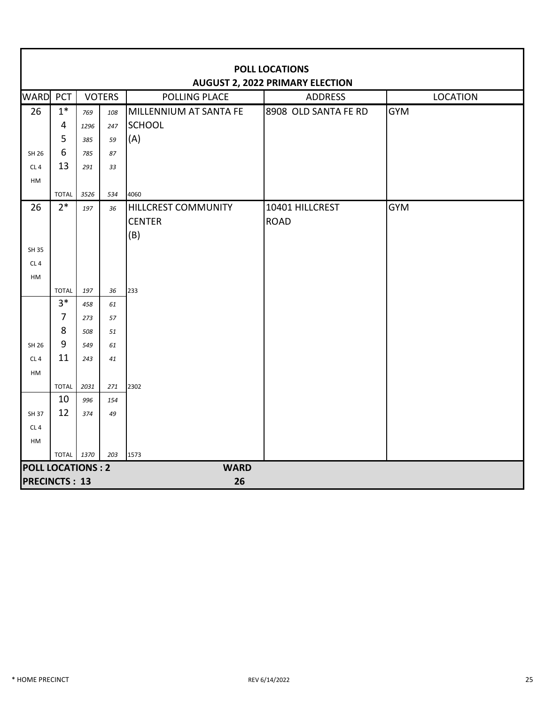| <b>POLL LOCATIONS</b><br><b>AUGUST 2, 2022 PRIMARY ELECTION</b> |                      |            |          |                            |                      |                 |
|-----------------------------------------------------------------|----------------------|------------|----------|----------------------------|----------------------|-----------------|
| <b>WARD</b>                                                     | PCT<br><b>VOTERS</b> |            |          | <b>POLLING PLACE</b>       | <b>ADDRESS</b>       | <b>LOCATION</b> |
| 26                                                              | $1*$                 | 769        | 108      | MILLENNIUM AT SANTA FE     | 8908 OLD SANTA FE RD | <b>GYM</b>      |
|                                                                 | 4                    | 1296       | 247      | <b>SCHOOL</b>              |                      |                 |
|                                                                 | 5                    | 385        | 59       | (A)                        |                      |                 |
| SH 26                                                           | 6                    | 785        | 87       |                            |                      |                 |
| CL4                                                             | 13                   | 291        | 33       |                            |                      |                 |
| HM                                                              |                      |            |          |                            |                      |                 |
|                                                                 | <b>TOTAL</b>         | 3526       | 534      | 4060                       |                      |                 |
| 26                                                              | $2*$                 | 197        | 36       | <b>HILLCREST COMMUNITY</b> | 10401 HILLCREST      | <b>GYM</b>      |
|                                                                 |                      |            |          | <b>CENTER</b>              | <b>ROAD</b>          |                 |
|                                                                 |                      |            |          | (B)                        |                      |                 |
| SH 35                                                           |                      |            |          |                            |                      |                 |
| CL <sub>4</sub>                                                 |                      |            |          |                            |                      |                 |
| HM                                                              |                      |            |          |                            |                      |                 |
|                                                                 | <b>TOTAL</b><br>$3*$ | 197        | 36       | 233                        |                      |                 |
|                                                                 | $\overline{7}$       | 458<br>273 | 61<br>57 |                            |                      |                 |
|                                                                 | 8                    | 508        | 51       |                            |                      |                 |
| SH 26                                                           | 9                    | 549        | 61       |                            |                      |                 |
| CL <sub>4</sub>                                                 | 11                   | 243        | 41       |                            |                      |                 |
| HM                                                              |                      |            |          |                            |                      |                 |
|                                                                 | <b>TOTAL</b>         | 2031       | 271      | 2302                       |                      |                 |
|                                                                 | 10                   | 996        | 154      |                            |                      |                 |
| SH 37                                                           | 12                   | 374        | 49       |                            |                      |                 |
| CL4                                                             |                      |            |          |                            |                      |                 |
| HM                                                              |                      |            |          |                            |                      |                 |
|                                                                 | TOTAL 1370           |            | 203      | 1573                       |                      |                 |
| <b>POLL LOCATIONS: 2</b><br><b>WARD</b>                         |                      |            |          |                            |                      |                 |
| <b>PRECINCTS: 13</b><br>26                                      |                      |            |          |                            |                      |                 |